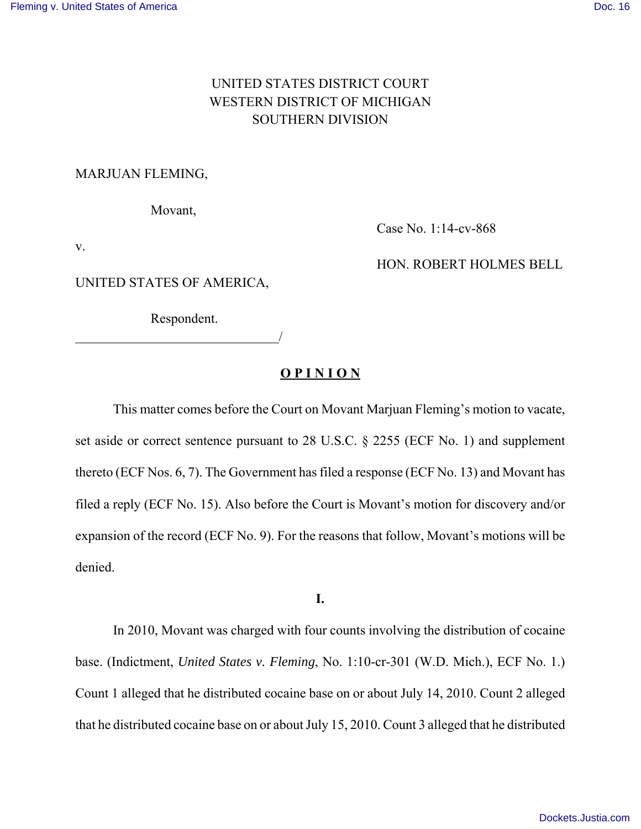# UNITED STATES DISTRICT COURT WESTERN DISTRICT OF MICHIGAN SOUTHERN DIVISION

## MARJUAN FLEMING,

Movant,

v.

Case No. 1:14-cv-868

HON. ROBERT HOLMES BELL

UNITED STATES OF AMERICA,

Respondent.

<u>/</u>

# **O P I N I O N**

This matter comes before the Court on Movant Marjuan Fleming's motion to vacate, set aside or correct sentence pursuant to 28 U.S.C. § 2255 (ECF No. 1) and supplement thereto (ECF Nos. 6, 7). The Government has filed a response (ECF No. 13) and Movant has filed a reply (ECF No. 15). Also before the Court is Movant's motion for discovery and/or expansion of the record (ECF No. 9). For the reasons that follow, Movant's motions will be denied.

**I.**

In 2010, Movant was charged with four counts involving the distribution of cocaine base. (Indictment, *United States v. Fleming*, No. 1:10-cr-301 (W.D. Mich.), ECF No. 1.) Count 1 alleged that he distributed cocaine base on or about July 14, 2010. Count 2 alleged that he distributed cocaine base on or about July 15, 2010. Count 3 alleged that he distributed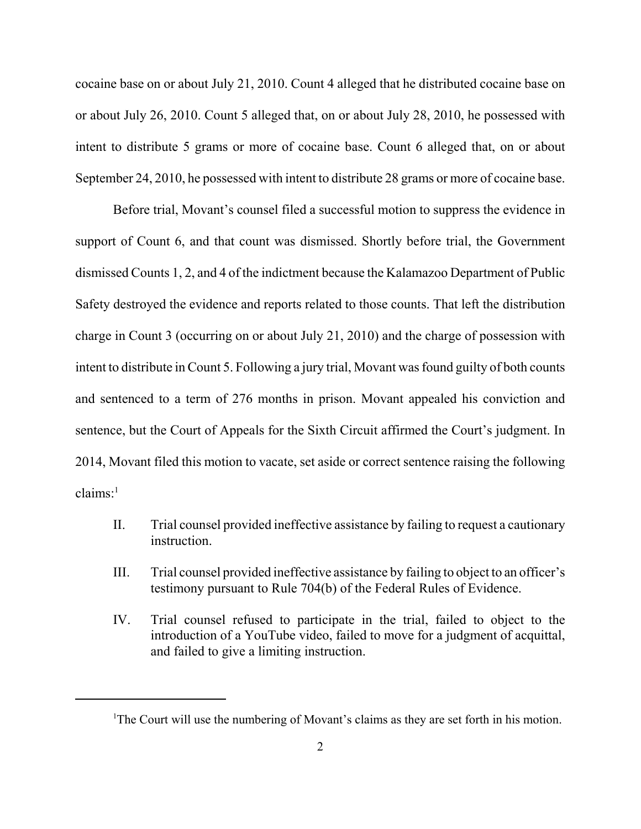cocaine base on or about July 21, 2010. Count 4 alleged that he distributed cocaine base on or about July 26, 2010. Count 5 alleged that, on or about July 28, 2010, he possessed with intent to distribute 5 grams or more of cocaine base. Count 6 alleged that, on or about September 24, 2010, he possessed with intent to distribute 28 grams or more of cocaine base.

Before trial, Movant's counsel filed a successful motion to suppress the evidence in support of Count 6, and that count was dismissed. Shortly before trial, the Government dismissed Counts 1, 2, and 4 of the indictment because the Kalamazoo Department of Public Safety destroyed the evidence and reports related to those counts. That left the distribution charge in Count 3 (occurring on or about July 21, 2010) and the charge of possession with intent to distribute in Count 5. Following a jury trial, Movant was found guilty of both counts and sentenced to a term of 276 months in prison. Movant appealed his conviction and sentence, but the Court of Appeals for the Sixth Circuit affirmed the Court's judgment. In 2014, Movant filed this motion to vacate, set aside or correct sentence raising the following  $claims$ :<sup>1</sup>

- II. Trial counsel provided ineffective assistance by failing to request a cautionary instruction.
- III. Trial counsel provided ineffective assistance by failing to object to an officer's testimony pursuant to Rule 704(b) of the Federal Rules of Evidence.
- IV. Trial counsel refused to participate in the trial, failed to object to the introduction of a YouTube video, failed to move for a judgment of acquittal, and failed to give a limiting instruction.

<sup>&</sup>lt;sup>1</sup>The Court will use the numbering of Movant's claims as they are set forth in his motion.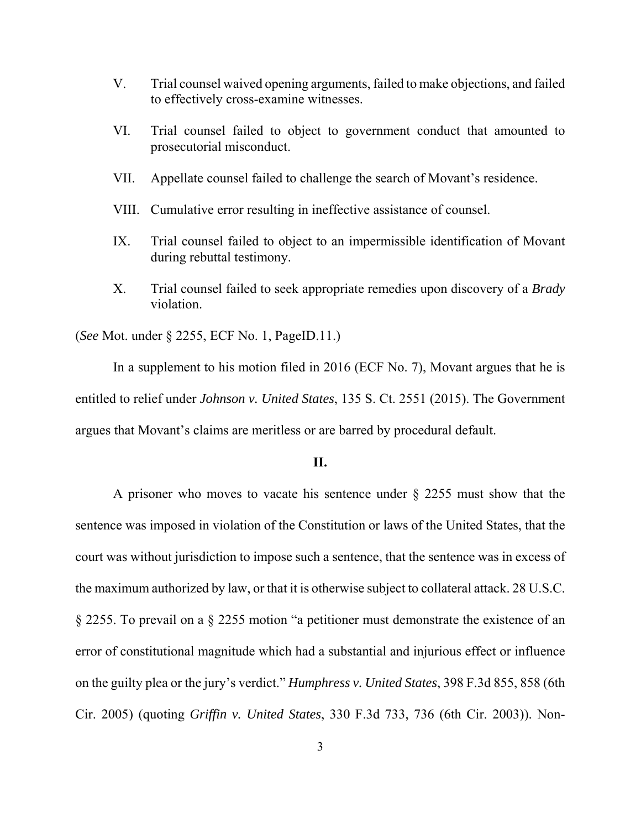- V. Trial counsel waived opening arguments, failed to make objections, and failed to effectively cross-examine witnesses.
- VI. Trial counsel failed to object to government conduct that amounted to prosecutorial misconduct.
- VII. Appellate counsel failed to challenge the search of Movant's residence.
- VIII. Cumulative error resulting in ineffective assistance of counsel.
- IX. Trial counsel failed to object to an impermissible identification of Movant during rebuttal testimony.
- X. Trial counsel failed to seek appropriate remedies upon discovery of a *Brady* violation.

(*See* Mot. under § 2255, ECF No. 1, PageID.11.)

In a supplement to his motion filed in 2016 (ECF No. 7), Movant argues that he is entitled to relief under *Johnson v. United States*, 135 S. Ct. 2551 (2015). The Government argues that Movant's claims are meritless or are barred by procedural default.

# **II.**

A prisoner who moves to vacate his sentence under  $\S$  2255 must show that the sentence was imposed in violation of the Constitution or laws of the United States, that the court was without jurisdiction to impose such a sentence, that the sentence was in excess of the maximum authorized by law, or that it is otherwise subject to collateral attack. 28 U.S.C. § 2255. To prevail on a § 2255 motion "a petitioner must demonstrate the existence of an error of constitutional magnitude which had a substantial and injurious effect or influence on the guilty plea or the jury's verdict." *Humphress v. United States*, 398 F.3d 855, 858 (6th Cir. 2005) (quoting *Griffin v. United States*, 330 F.3d 733, 736 (6th Cir. 2003)). Non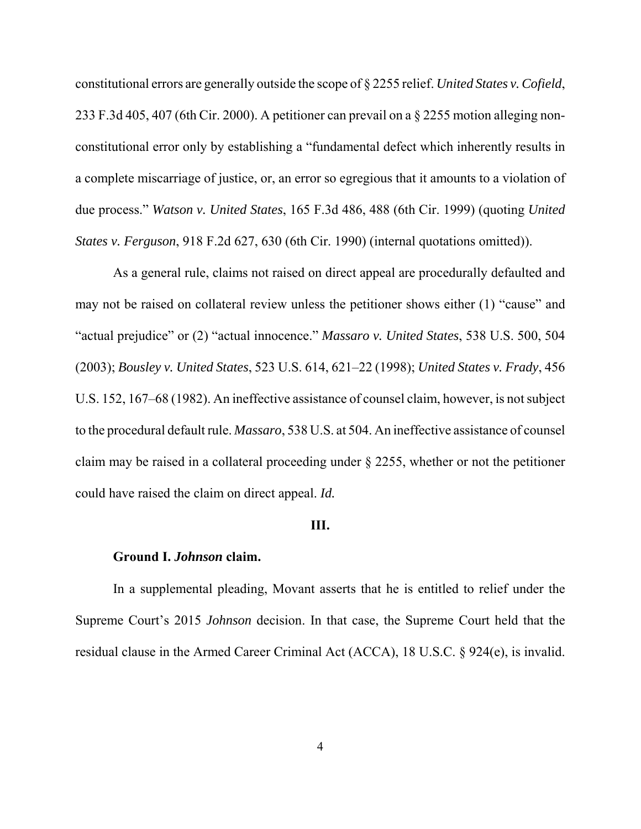constitutional errors are generally outside the scope of § 2255 relief. *United States v. Cofield*, 233 F.3d 405, 407 (6th Cir. 2000). A petitioner can prevail on a § 2255 motion alleging nonconstitutional error only by establishing a "fundamental defect which inherently results in a complete miscarriage of justice, or, an error so egregious that it amounts to a violation of due process." *Watson v. United States*, 165 F.3d 486, 488 (6th Cir. 1999) (quoting *United States v. Ferguson*, 918 F.2d 627, 630 (6th Cir. 1990) (internal quotations omitted)).

As a general rule, claims not raised on direct appeal are procedurally defaulted and may not be raised on collateral review unless the petitioner shows either (1) "cause" and "actual prejudice" or (2) "actual innocence." *Massaro v. United States*, 538 U.S. 500, 504 (2003); *Bousley v. United States*, 523 U.S. 614, 621–22 (1998); *United States v. Frady*, 456 U.S. 152, 167–68 (1982). An ineffective assistance of counsel claim, however, is not subject to the procedural default rule. *Massaro*, 538 U.S. at 504. An ineffective assistance of counsel claim may be raised in a collateral proceeding under § 2255, whether or not the petitioner could have raised the claim on direct appeal. *Id.*

#### **III.**

#### **Ground I.** *Johnson* **claim.**

In a supplemental pleading, Movant asserts that he is entitled to relief under the Supreme Court's 2015 *Johnson* decision. In that case, the Supreme Court held that the residual clause in the Armed Career Criminal Act (ACCA), 18 U.S.C. § 924(e), is invalid.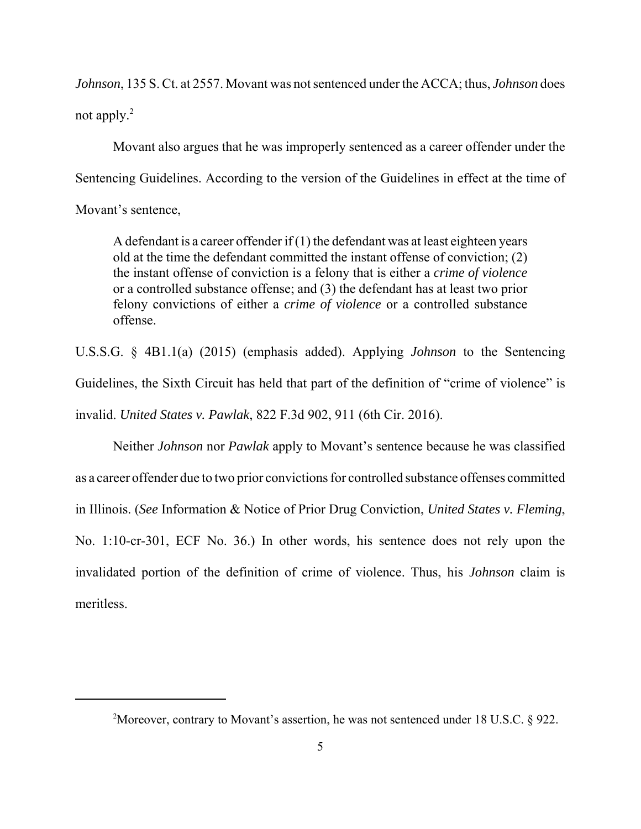*Johnson*, 135 S. Ct. at 2557. Movant was not sentenced under the ACCA; thus, *Johnson* does not apply. $^{2}$ 

Movant also argues that he was improperly sentenced as a career offender under the Sentencing Guidelines. According to the version of the Guidelines in effect at the time of Movant's sentence,

A defendant is a career offender if  $(1)$  the defendant was at least eighteen years old at the time the defendant committed the instant offense of conviction; (2) the instant offense of conviction is a felony that is either a *crime of violence* or a controlled substance offense; and (3) the defendant has at least two prior felony convictions of either a *crime of violence* or a controlled substance offense.

U.S.S.G. § 4B1.1(a) (2015) (emphasis added). Applying *Johnson* to the Sentencing Guidelines, the Sixth Circuit has held that part of the definition of "crime of violence" is invalid. *United States v. Pawlak*, 822 F.3d 902, 911 (6th Cir. 2016).

Neither *Johnson* nor *Pawlak* apply to Movant's sentence because he was classified as a career offender due to two prior convictions for controlled substance offenses committed in Illinois. (*See* Information & Notice of Prior Drug Conviction, *United States v. Fleming*, No. 1:10-cr-301, ECF No. 36.) In other words, his sentence does not rely upon the invalidated portion of the definition of crime of violence. Thus, his *Johnson* claim is meritless.

<sup>&</sup>lt;sup>2</sup>Moreover, contrary to Movant's assertion, he was not sentenced under 18 U.S.C.  $\S$  922.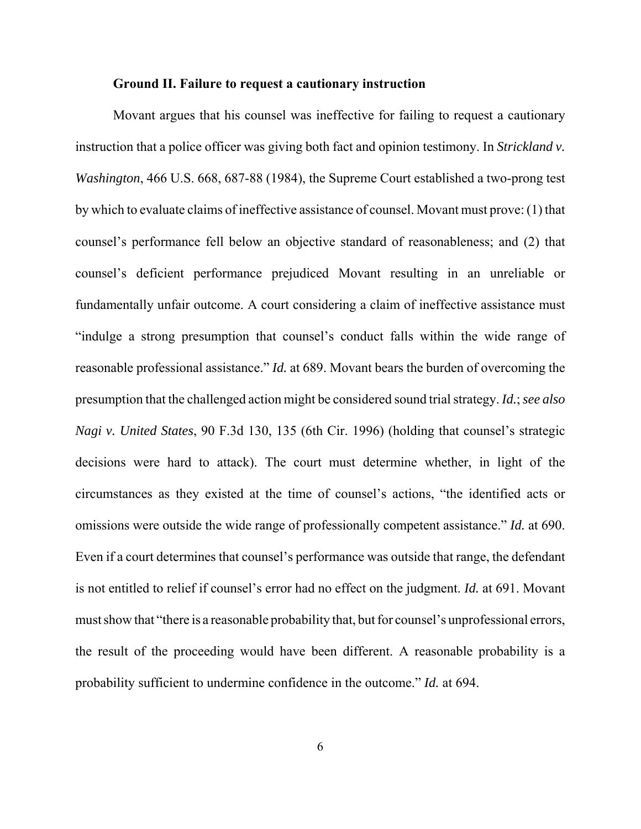#### **Ground II. Failure to request a cautionary instruction**

Movant argues that his counsel was ineffective for failing to request a cautionary instruction that a police officer was giving both fact and opinion testimony. In *Strickland v. Washington*, 466 U.S. 668, 687-88 (1984), the Supreme Court established a two-prong test by which to evaluate claims of ineffective assistance of counsel. Movant must prove: (1) that counsel's performance fell below an objective standard of reasonableness; and (2) that counsel's deficient performance prejudiced Movant resulting in an unreliable or fundamentally unfair outcome. A court considering a claim of ineffective assistance must "indulge a strong presumption that counsel's conduct falls within the wide range of reasonable professional assistance." *Id.* at 689. Movant bears the burden of overcoming the presumption that the challenged action might be considered sound trial strategy. *Id.*; *see also Nagi v. United States*, 90 F.3d 130, 135 (6th Cir. 1996) (holding that counsel's strategic decisions were hard to attack). The court must determine whether, in light of the circumstances as they existed at the time of counsel's actions, "the identified acts or omissions were outside the wide range of professionally competent assistance." *Id.* at 690. Even if a court determines that counsel's performance was outside that range, the defendant is not entitled to relief if counsel's error had no effect on the judgment. *Id.* at 691. Movant must show that "there is a reasonable probability that, but for counsel's unprofessional errors, the result of the proceeding would have been different. A reasonable probability is a probability sufficient to undermine confidence in the outcome." *Id.* at 694.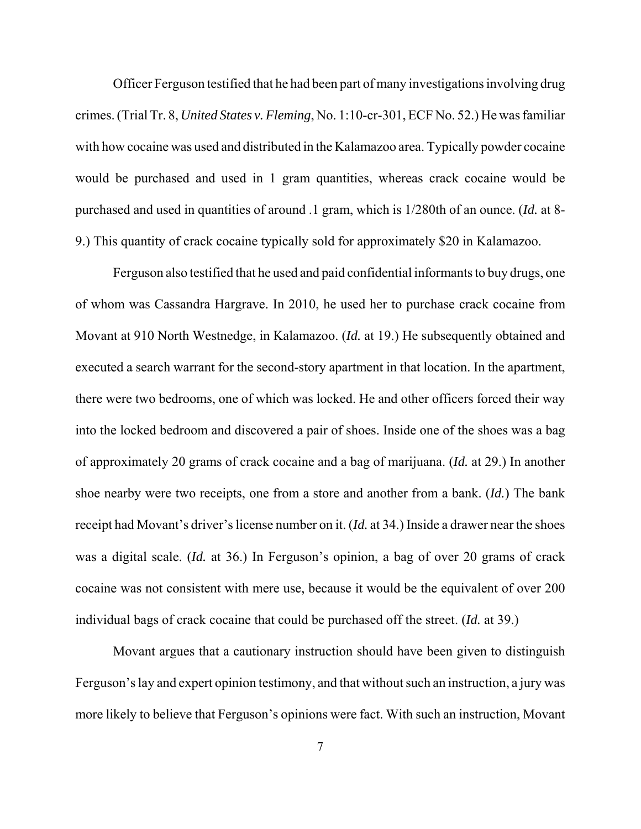Officer Ferguson testified that he had been part of many investigations involving drug crimes. (Trial Tr. 8, *United States v. Fleming*, No. 1:10-cr-301, ECF No. 52.) He was familiar with how cocaine was used and distributed in the Kalamazoo area. Typically powder cocaine would be purchased and used in 1 gram quantities, whereas crack cocaine would be purchased and used in quantities of around .1 gram, which is 1/280th of an ounce. (*Id.* at 8- 9.) This quantity of crack cocaine typically sold for approximately \$20 in Kalamazoo.

Ferguson also testified that he used and paid confidential informants to buy drugs, one of whom was Cassandra Hargrave. In 2010, he used her to purchase crack cocaine from Movant at 910 North Westnedge, in Kalamazoo. (*Id.* at 19.) He subsequently obtained and executed a search warrant for the second-story apartment in that location. In the apartment, there were two bedrooms, one of which was locked. He and other officers forced their way into the locked bedroom and discovered a pair of shoes. Inside one of the shoes was a bag of approximately 20 grams of crack cocaine and a bag of marijuana. (*Id.* at 29.) In another shoe nearby were two receipts, one from a store and another from a bank. (*Id.*) The bank receipt had Movant's driver's license number on it. (*Id.* at 34.) Inside a drawer near the shoes was a digital scale. (*Id.* at 36.) In Ferguson's opinion, a bag of over 20 grams of crack cocaine was not consistent with mere use, because it would be the equivalent of over 200 individual bags of crack cocaine that could be purchased off the street. (*Id.* at 39.)

Movant argues that a cautionary instruction should have been given to distinguish Ferguson's lay and expert opinion testimony, and that without such an instruction, a jury was more likely to believe that Ferguson's opinions were fact. With such an instruction, Movant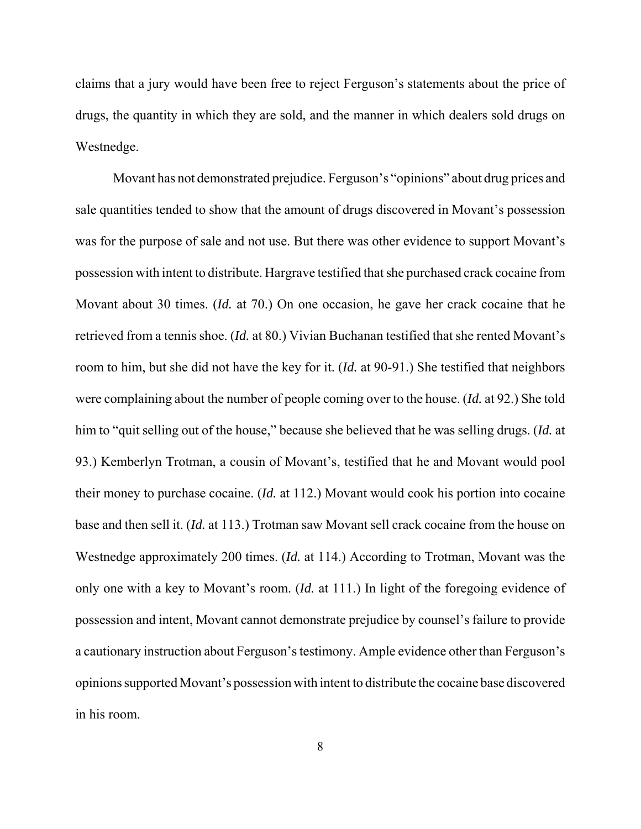claims that a jury would have been free to reject Ferguson's statements about the price of drugs, the quantity in which they are sold, and the manner in which dealers sold drugs on Westnedge.

Movant has not demonstrated prejudice. Ferguson's "opinions" about drug prices and sale quantities tended to show that the amount of drugs discovered in Movant's possession was for the purpose of sale and not use. But there was other evidence to support Movant's possession with intent to distribute. Hargrave testified that she purchased crack cocaine from Movant about 30 times. (*Id.* at 70.) On one occasion, he gave her crack cocaine that he retrieved from a tennis shoe. (*Id.* at 80.) Vivian Buchanan testified that she rented Movant's room to him, but she did not have the key for it. (*Id.* at 90-91.) She testified that neighbors were complaining about the number of people coming over to the house. (*Id.* at 92.) She told him to "quit selling out of the house," because she believed that he was selling drugs. (*Id.* at 93.) Kemberlyn Trotman, a cousin of Movant's, testified that he and Movant would pool their money to purchase cocaine. (*Id.* at 112.) Movant would cook his portion into cocaine base and then sell it. (*Id.* at 113.) Trotman saw Movant sell crack cocaine from the house on Westnedge approximately 200 times. (*Id.* at 114.) According to Trotman, Movant was the only one with a key to Movant's room. (*Id.* at 111.) In light of the foregoing evidence of possession and intent, Movant cannot demonstrate prejudice by counsel's failure to provide a cautionary instruction about Ferguson's testimony. Ample evidence other than Ferguson's opinions supported Movant's possession with intent to distribute the cocaine base discovered in his room.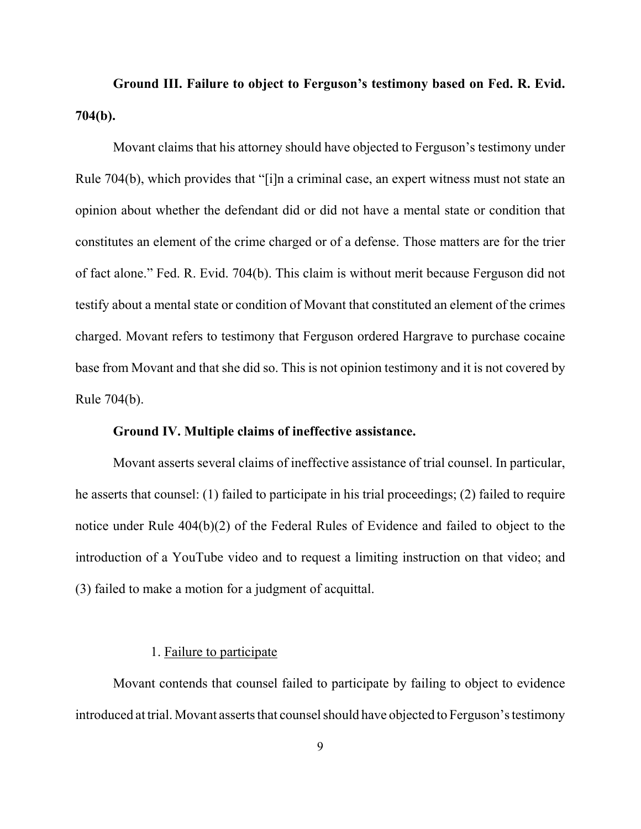**Ground III. Failure to object to Ferguson's testimony based on Fed. R. Evid. 704(b).**

Movant claims that his attorney should have objected to Ferguson's testimony under Rule 704(b), which provides that "[i]n a criminal case, an expert witness must not state an opinion about whether the defendant did or did not have a mental state or condition that constitutes an element of the crime charged or of a defense. Those matters are for the trier of fact alone." Fed. R. Evid. 704(b). This claim is without merit because Ferguson did not testify about a mental state or condition of Movant that constituted an element of the crimes charged. Movant refers to testimony that Ferguson ordered Hargrave to purchase cocaine base from Movant and that she did so. This is not opinion testimony and it is not covered by Rule 704(b).

## **Ground IV. Multiple claims of ineffective assistance.**

Movant asserts several claims of ineffective assistance of trial counsel. In particular, he asserts that counsel: (1) failed to participate in his trial proceedings; (2) failed to require notice under Rule 404(b)(2) of the Federal Rules of Evidence and failed to object to the introduction of a YouTube video and to request a limiting instruction on that video; and (3) failed to make a motion for a judgment of acquittal.

# 1. Failure to participate

Movant contends that counsel failed to participate by failing to object to evidence introduced at trial. Movant asserts that counsel should have objected to Ferguson's testimony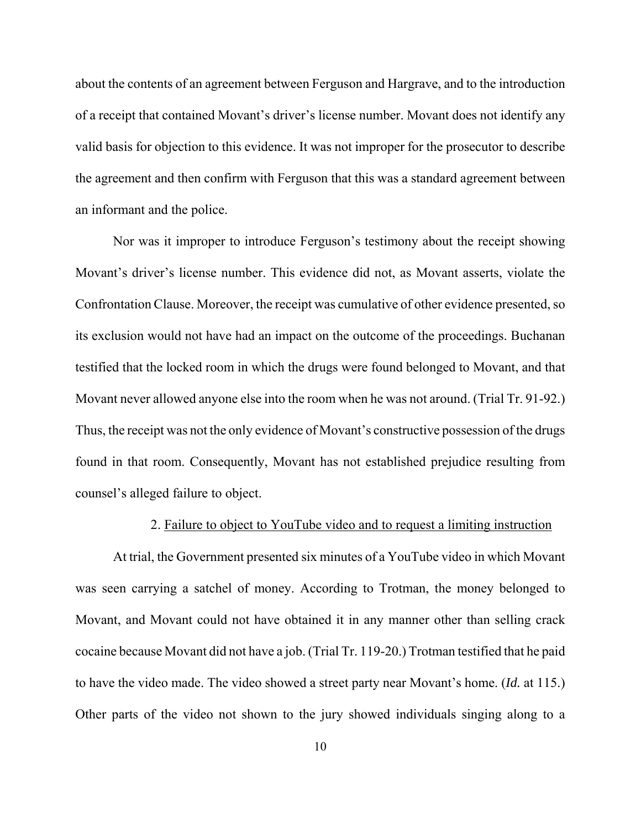about the contents of an agreement between Ferguson and Hargrave, and to the introduction of a receipt that contained Movant's driver's license number. Movant does not identify any valid basis for objection to this evidence. It was not improper for the prosecutor to describe the agreement and then confirm with Ferguson that this was a standard agreement between an informant and the police.

Nor was it improper to introduce Ferguson's testimony about the receipt showing Movant's driver's license number. This evidence did not, as Movant asserts, violate the Confrontation Clause. Moreover, the receipt was cumulative of other evidence presented, so its exclusion would not have had an impact on the outcome of the proceedings. Buchanan testified that the locked room in which the drugs were found belonged to Movant, and that Movant never allowed anyone else into the room when he was not around. (Trial Tr. 91-92.) Thus, the receipt was not the only evidence of Movant's constructive possession of the drugs found in that room. Consequently, Movant has not established prejudice resulting from counsel's alleged failure to object.

#### 2. Failure to object to YouTube video and to request a limiting instruction

At trial, the Government presented six minutes of a YouTube video in which Movant was seen carrying a satchel of money. According to Trotman, the money belonged to Movant, and Movant could not have obtained it in any manner other than selling crack cocaine because Movant did not have a job. (Trial Tr. 119-20.) Trotman testified that he paid to have the video made. The video showed a street party near Movant's home. (*Id.* at 115.) Other parts of the video not shown to the jury showed individuals singing along to a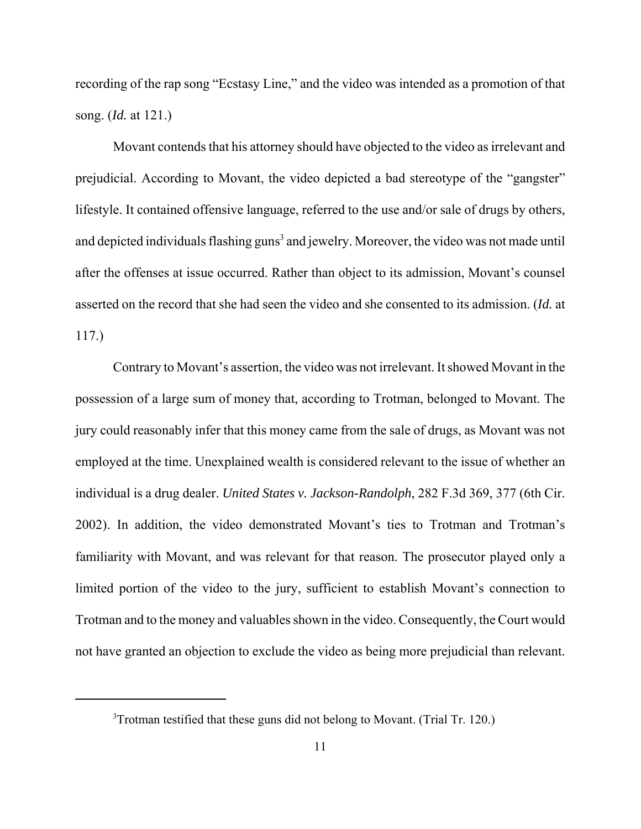recording of the rap song "Ecstasy Line," and the video was intended as a promotion of that song. (*Id.* at 121.)

Movant contends that his attorney should have objected to the video as irrelevant and prejudicial. According to Movant, the video depicted a bad stereotype of the "gangster" lifestyle. It contained offensive language, referred to the use and/or sale of drugs by others, and depicted individuals flashing guns<sup>3</sup> and jewelry. Moreover, the video was not made until after the offenses at issue occurred. Rather than object to its admission, Movant's counsel asserted on the record that she had seen the video and she consented to its admission. (*Id.* at 117.)

Contrary to Movant's assertion, the video was not irrelevant. It showed Movant in the possession of a large sum of money that, according to Trotman, belonged to Movant. The jury could reasonably infer that this money came from the sale of drugs, as Movant was not employed at the time. Unexplained wealth is considered relevant to the issue of whether an individual is a drug dealer. *United States v. Jackson-Randolph*, 282 F.3d 369, 377 (6th Cir. 2002). In addition, the video demonstrated Movant's ties to Trotman and Trotman's familiarity with Movant, and was relevant for that reason. The prosecutor played only a limited portion of the video to the jury, sufficient to establish Movant's connection to Trotman and to the money and valuables shown in the video. Consequently, the Court would not have granted an objection to exclude the video as being more prejudicial than relevant.

<sup>3</sup>Trotman testified that these guns did not belong to Movant. (Trial Tr. 120.)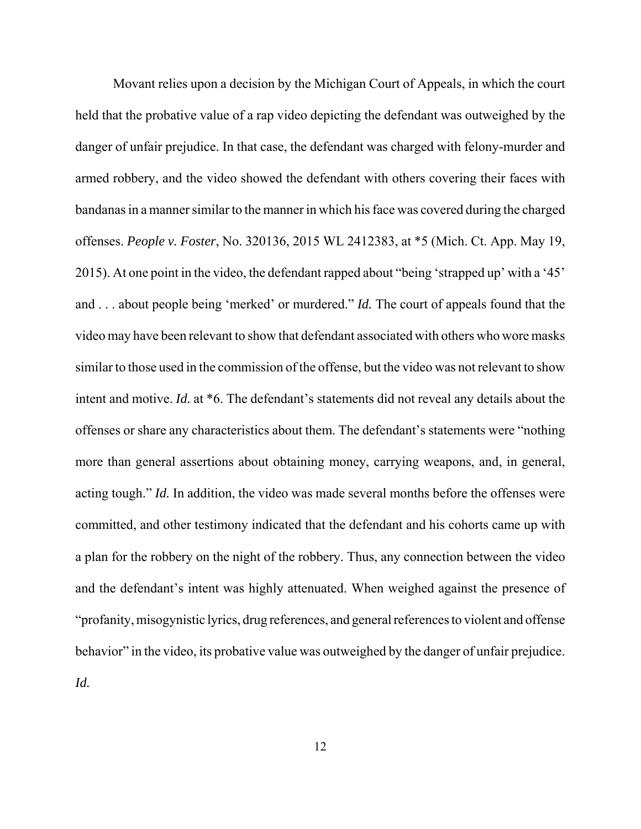Movant relies upon a decision by the Michigan Court of Appeals, in which the court held that the probative value of a rap video depicting the defendant was outweighed by the danger of unfair prejudice. In that case, the defendant was charged with felony-murder and armed robbery, and the video showed the defendant with others covering their faces with bandanas in a manner similar to the manner in which his face was covered during the charged offenses. *People v. Foster*, No. 320136, 2015 WL 2412383, at \*5 (Mich. Ct. App. May 19, 2015). At one point in the video, the defendant rapped about "being 'strapped up' with a '45' and . . . about people being 'merked' or murdered." *Id.* The court of appeals found that the video may have been relevant to show that defendant associated with others who wore masks similar to those used in the commission of the offense, but the video was not relevant to show intent and motive. *Id.* at \*6. The defendant's statements did not reveal any details about the offenses or share any characteristics about them. The defendant's statements were "nothing more than general assertions about obtaining money, carrying weapons, and, in general, acting tough." *Id.* In addition, the video was made several months before the offenses were committed, and other testimony indicated that the defendant and his cohorts came up with a plan for the robbery on the night of the robbery. Thus, any connection between the video and the defendant's intent was highly attenuated. When weighed against the presence of "profanity, misogynistic lyrics, drug references, and general references to violent and offense behavior" in the video, its probative value was outweighed by the danger of unfair prejudice. *Id.*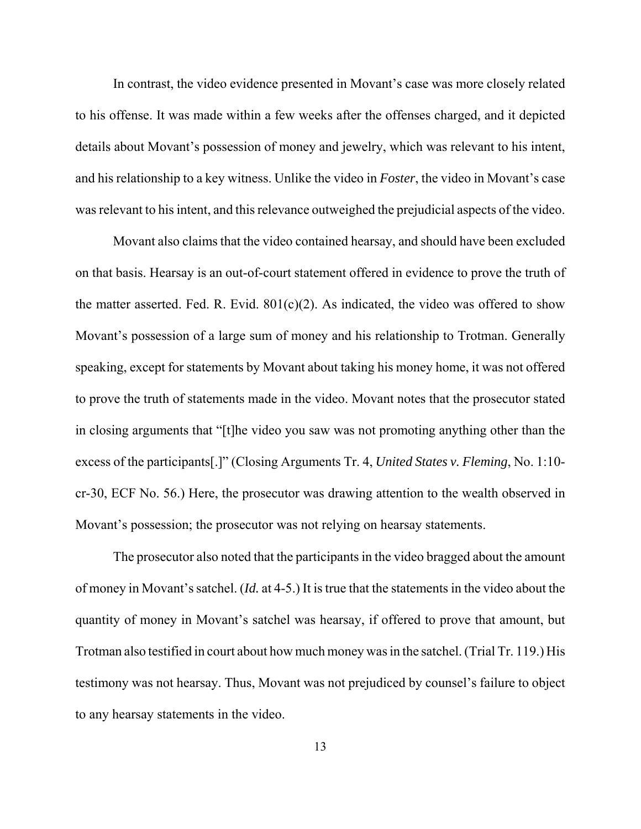In contrast, the video evidence presented in Movant's case was more closely related to his offense. It was made within a few weeks after the offenses charged, and it depicted details about Movant's possession of money and jewelry, which was relevant to his intent, and his relationship to a key witness. Unlike the video in *Foster*, the video in Movant's case was relevant to his intent, and this relevance outweighed the prejudicial aspects of the video.

Movant also claims that the video contained hearsay, and should have been excluded on that basis. Hearsay is an out-of-court statement offered in evidence to prove the truth of the matter asserted. Fed. R. Evid.  $801(c)(2)$ . As indicated, the video was offered to show Movant's possession of a large sum of money and his relationship to Trotman. Generally speaking, except for statements by Movant about taking his money home, it was not offered to prove the truth of statements made in the video. Movant notes that the prosecutor stated in closing arguments that "[t]he video you saw was not promoting anything other than the excess of the participants[.]" (Closing Arguments Tr. 4, *United States v. Fleming*, No. 1:10 cr-30, ECF No. 56.) Here, the prosecutor was drawing attention to the wealth observed in Movant's possession; the prosecutor was not relying on hearsay statements.

The prosecutor also noted that the participants in the video bragged about the amount of money in Movant's satchel. (*Id.* at 4-5.) It is true that the statements in the video about the quantity of money in Movant's satchel was hearsay, if offered to prove that amount, but Trotman also testified in court about how much money was in the satchel. (Trial Tr. 119.) His testimony was not hearsay. Thus, Movant was not prejudiced by counsel's failure to object to any hearsay statements in the video.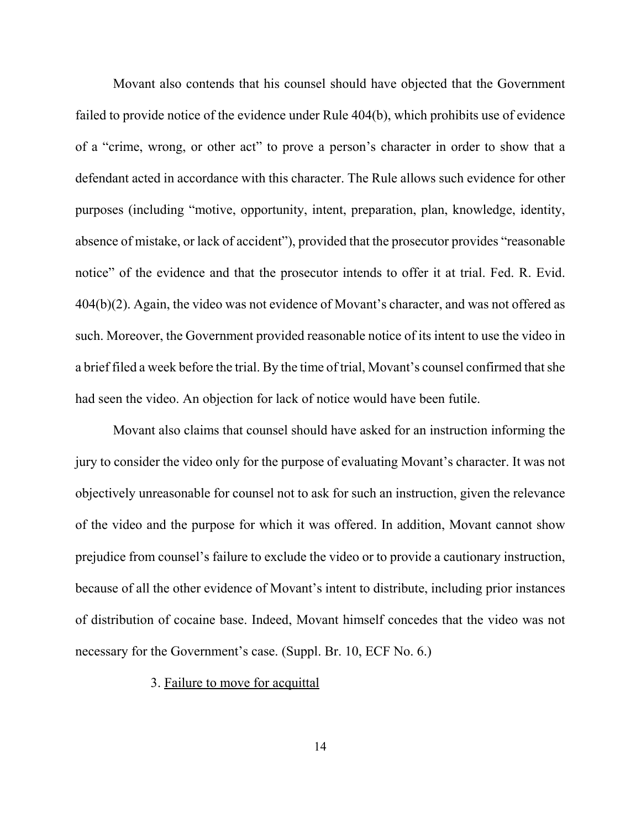Movant also contends that his counsel should have objected that the Government failed to provide notice of the evidence under Rule 404(b), which prohibits use of evidence of a "crime, wrong, or other act" to prove a person's character in order to show that a defendant acted in accordance with this character. The Rule allows such evidence for other purposes (including "motive, opportunity, intent, preparation, plan, knowledge, identity, absence of mistake, or lack of accident"), provided that the prosecutor provides "reasonable notice" of the evidence and that the prosecutor intends to offer it at trial. Fed. R. Evid. 404(b)(2). Again, the video was not evidence of Movant's character, and was not offered as such. Moreover, the Government provided reasonable notice of its intent to use the video in a brief filed a week before the trial. By the time of trial, Movant's counsel confirmed that she had seen the video. An objection for lack of notice would have been futile.

Movant also claims that counsel should have asked for an instruction informing the jury to consider the video only for the purpose of evaluating Movant's character. It was not objectively unreasonable for counsel not to ask for such an instruction, given the relevance of the video and the purpose for which it was offered. In addition, Movant cannot show prejudice from counsel's failure to exclude the video or to provide a cautionary instruction, because of all the other evidence of Movant's intent to distribute, including prior instances of distribution of cocaine base. Indeed, Movant himself concedes that the video was not necessary for the Government's case. (Suppl. Br. 10, ECF No. 6.)

## 3. Failure to move for acquittal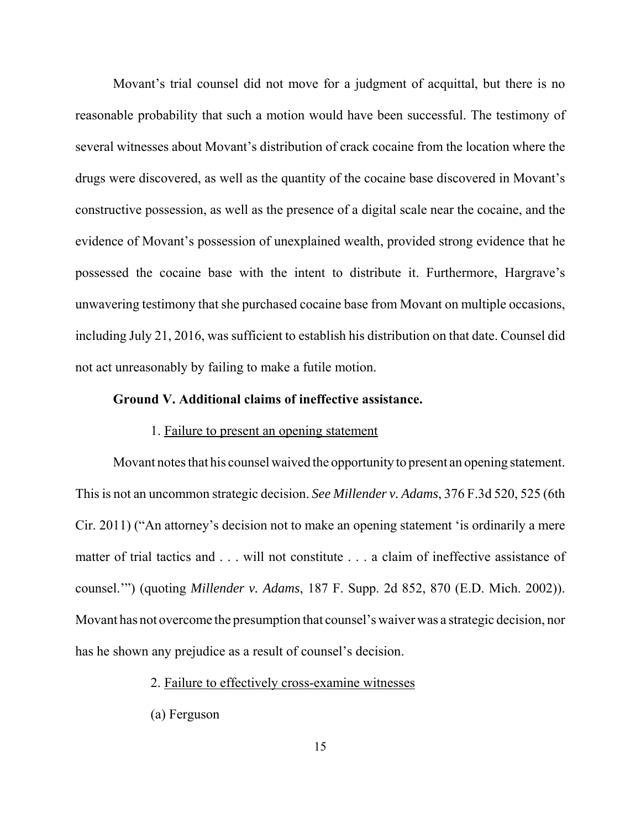Movant's trial counsel did not move for a judgment of acquittal, but there is no reasonable probability that such a motion would have been successful. The testimony of several witnesses about Movant's distribution of crack cocaine from the location where the drugs were discovered, as well as the quantity of the cocaine base discovered in Movant's constructive possession, as well as the presence of a digital scale near the cocaine, and the evidence of Movant's possession of unexplained wealth, provided strong evidence that he possessed the cocaine base with the intent to distribute it. Furthermore, Hargrave's unwavering testimony that she purchased cocaine base from Movant on multiple occasions, including July 21, 2016, was sufficient to establish his distribution on that date. Counsel did not act unreasonably by failing to make a futile motion.

## **Ground V. Additional claims of ineffective assistance.**

#### 1. Failure to present an opening statement

Movant notes that his counsel waived the opportunity to present an opening statement. This is not an uncommon strategic decision. *See Millender v. Adams*, 376 F.3d 520, 525 (6th Cir. 2011) ("An attorney's decision not to make an opening statement 'is ordinarily a mere matter of trial tactics and . . . will not constitute . . . a claim of ineffective assistance of counsel.'") (quoting *Millender v. Adams*, 187 F. Supp. 2d 852, 870 (E.D. Mich. 2002)). Movant has not overcome the presumption that counsel's waiver was a strategic decision, nor has he shown any prejudice as a result of counsel's decision.

## 2. Failure to effectively cross-examine witnesses

(a) Ferguson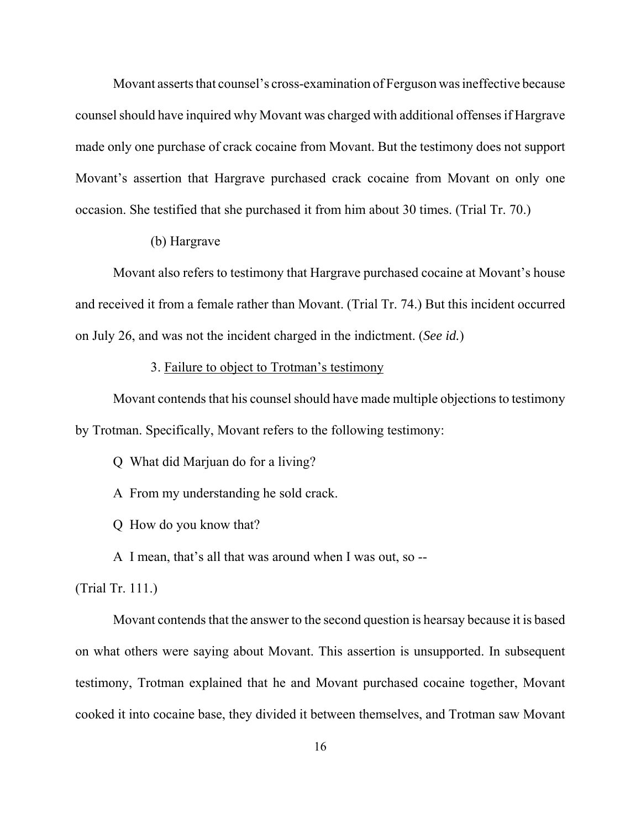Movant asserts that counsel's cross-examination of Ferguson was ineffective because counsel should have inquired why Movant was charged with additional offenses if Hargrave made only one purchase of crack cocaine from Movant. But the testimony does not support Movant's assertion that Hargrave purchased crack cocaine from Movant on only one occasion. She testified that she purchased it from him about 30 times. (Trial Tr. 70.)

# (b) Hargrave

Movant also refers to testimony that Hargrave purchased cocaine at Movant's house and received it from a female rather than Movant. (Trial Tr. 74.) But this incident occurred on July 26, and was not the incident charged in the indictment. (*See id.*)

## 3. Failure to object to Trotman's testimony

Movant contends that his counsel should have made multiple objections to testimony by Trotman. Specifically, Movant refers to the following testimony:

Q What did Marjuan do for a living?

A From my understanding he sold crack.

Q How do you know that?

A I mean, that's all that was around when I was out, so --

# (Trial Tr. 111.)

Movant contends that the answer to the second question is hearsay because it is based on what others were saying about Movant. This assertion is unsupported. In subsequent testimony, Trotman explained that he and Movant purchased cocaine together, Movant cooked it into cocaine base, they divided it between themselves, and Trotman saw Movant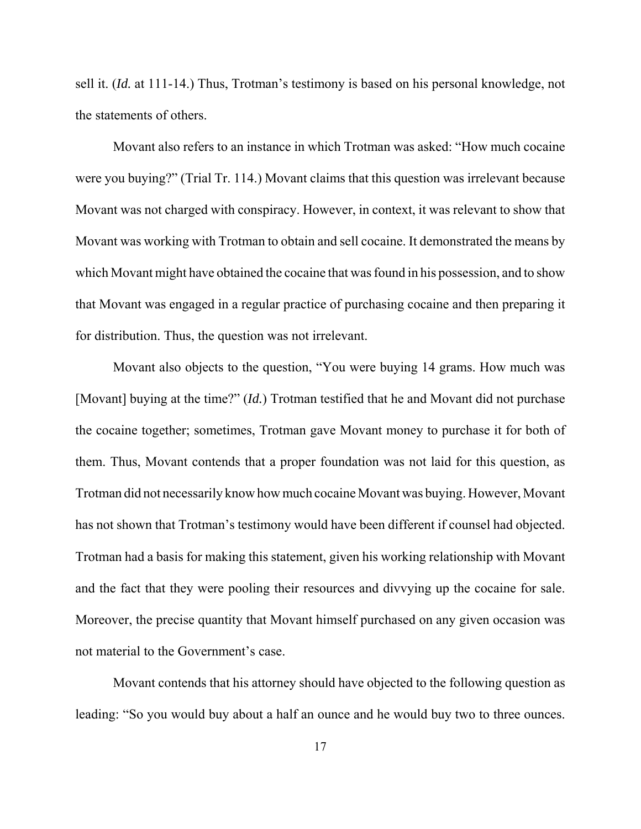sell it. (*Id.* at 111-14.) Thus, Trotman's testimony is based on his personal knowledge, not the statements of others.

Movant also refers to an instance in which Trotman was asked: "How much cocaine were you buying?" (Trial Tr. 114.) Movant claims that this question was irrelevant because Movant was not charged with conspiracy. However, in context, it was relevant to show that Movant was working with Trotman to obtain and sell cocaine. It demonstrated the means by which Movant might have obtained the cocaine that was found in his possession, and to show that Movant was engaged in a regular practice of purchasing cocaine and then preparing it for distribution. Thus, the question was not irrelevant.

Movant also objects to the question, "You were buying 14 grams. How much was [Movant] buying at the time?" (*Id.*) Trotman testified that he and Movant did not purchase the cocaine together; sometimes, Trotman gave Movant money to purchase it for both of them. Thus, Movant contends that a proper foundation was not laid for this question, as Trotman did not necessarily know how much cocaine Movant was buying. However, Movant has not shown that Trotman's testimony would have been different if counsel had objected. Trotman had a basis for making this statement, given his working relationship with Movant and the fact that they were pooling their resources and divvying up the cocaine for sale. Moreover, the precise quantity that Movant himself purchased on any given occasion was not material to the Government's case.

Movant contends that his attorney should have objected to the following question as leading: "So you would buy about a half an ounce and he would buy two to three ounces.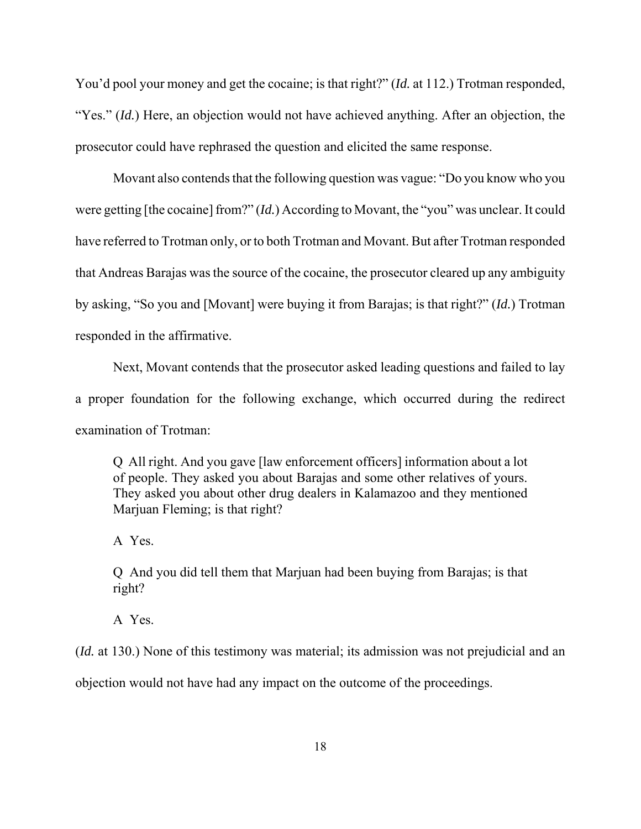You'd pool your money and get the cocaine; is that right?" (*Id.* at 112.) Trotman responded, "Yes." (*Id.*) Here, an objection would not have achieved anything. After an objection, the prosecutor could have rephrased the question and elicited the same response.

Movant also contends that the following question was vague: "Do you know who you were getting [the cocaine] from?" (*Id.*) According to Movant, the "you" was unclear. It could have referred to Trotman only, or to both Trotman and Movant. But after Trotman responded that Andreas Barajas was the source of the cocaine, the prosecutor cleared up any ambiguity by asking, "So you and [Movant] were buying it from Barajas; is that right?" (*Id.*) Trotman responded in the affirmative.

Next, Movant contends that the prosecutor asked leading questions and failed to lay a proper foundation for the following exchange, which occurred during the redirect examination of Trotman:

Q All right. And you gave [law enforcement officers] information about a lot of people. They asked you about Barajas and some other relatives of yours. They asked you about other drug dealers in Kalamazoo and they mentioned Marjuan Fleming; is that right?

A Yes.

Q And you did tell them that Marjuan had been buying from Barajas; is that right?

A Yes.

(*Id.* at 130.) None of this testimony was material; its admission was not prejudicial and an

objection would not have had any impact on the outcome of the proceedings.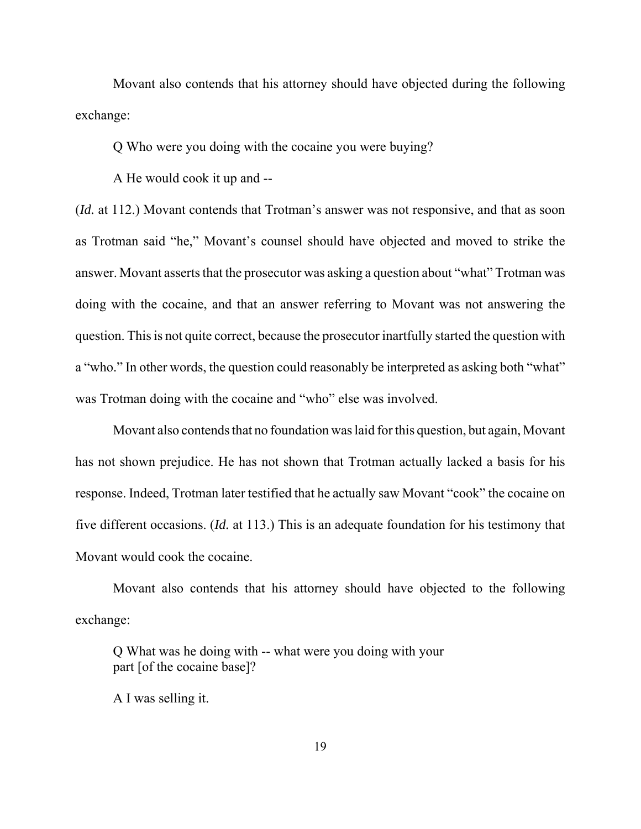Movant also contends that his attorney should have objected during the following exchange:

Q Who were you doing with the cocaine you were buying?

A He would cook it up and --

(*Id.* at 112.) Movant contends that Trotman's answer was not responsive, and that as soon as Trotman said "he," Movant's counsel should have objected and moved to strike the answer. Movant asserts that the prosecutor was asking a question about "what" Trotman was doing with the cocaine, and that an answer referring to Movant was not answering the question. This is not quite correct, because the prosecutor inartfully started the question with a "who." In other words, the question could reasonably be interpreted as asking both "what" was Trotman doing with the cocaine and "who" else was involved.

Movant also contends that no foundation was laid for this question, but again, Movant has not shown prejudice. He has not shown that Trotman actually lacked a basis for his response. Indeed, Trotman later testified that he actually saw Movant "cook" the cocaine on five different occasions. (*Id.* at 113.) This is an adequate foundation for his testimony that Movant would cook the cocaine.

Movant also contends that his attorney should have objected to the following exchange:

Q What was he doing with -- what were you doing with your part [of the cocaine base]?

A I was selling it.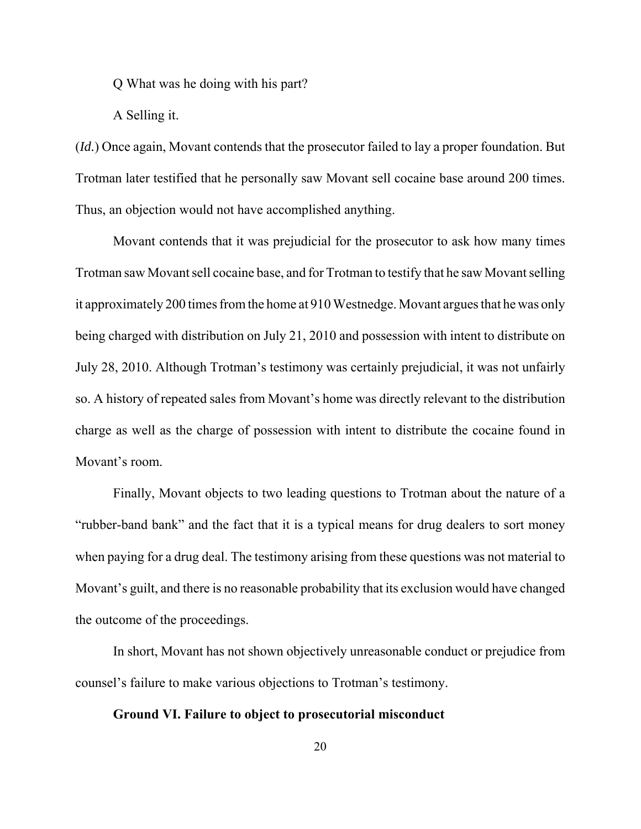Q What was he doing with his part?

A Selling it.

(*Id.*) Once again, Movant contends that the prosecutor failed to lay a proper foundation. But Trotman later testified that he personally saw Movant sell cocaine base around 200 times. Thus, an objection would not have accomplished anything.

Movant contends that it was prejudicial for the prosecutor to ask how many times Trotman saw Movant sell cocaine base, and for Trotman to testify that he saw Movant selling it approximately 200 times from the home at 910 Westnedge. Movant argues that he was only being charged with distribution on July 21, 2010 and possession with intent to distribute on July 28, 2010. Although Trotman's testimony was certainly prejudicial, it was not unfairly so. A history of repeated sales from Movant's home was directly relevant to the distribution charge as well as the charge of possession with intent to distribute the cocaine found in Movant's room.

Finally, Movant objects to two leading questions to Trotman about the nature of a "rubber-band bank" and the fact that it is a typical means for drug dealers to sort money when paying for a drug deal. The testimony arising from these questions was not material to Movant's guilt, and there is no reasonable probability that its exclusion would have changed the outcome of the proceedings.

In short, Movant has not shown objectively unreasonable conduct or prejudice from counsel's failure to make various objections to Trotman's testimony.

#### **Ground VI. Failure to object to prosecutorial misconduct**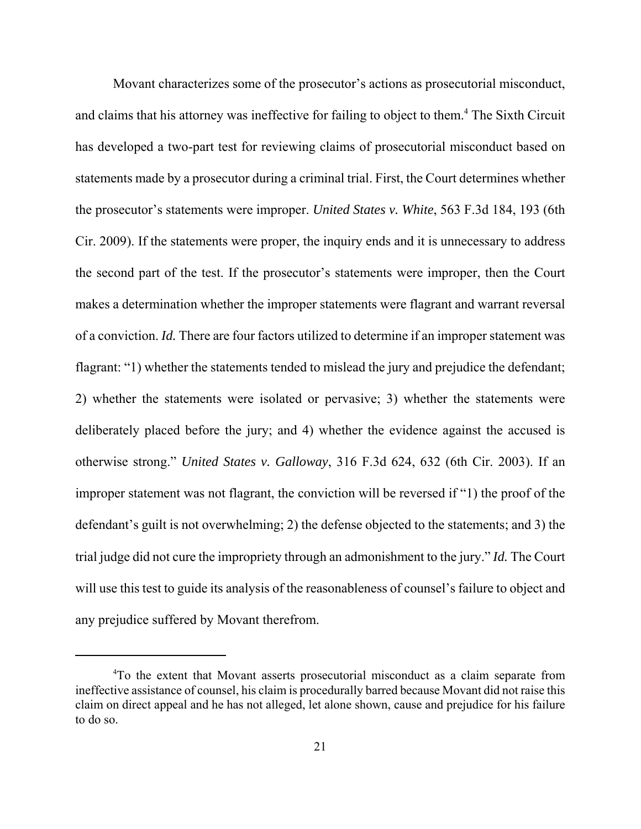Movant characterizes some of the prosecutor's actions as prosecutorial misconduct, and claims that his attorney was ineffective for failing to object to them.<sup>4</sup> The Sixth Circuit has developed a two-part test for reviewing claims of prosecutorial misconduct based on statements made by a prosecutor during a criminal trial. First, the Court determines whether the prosecutor's statements were improper. *United States v. White*, 563 F.3d 184, 193 (6th Cir. 2009). If the statements were proper, the inquiry ends and it is unnecessary to address the second part of the test. If the prosecutor's statements were improper, then the Court makes a determination whether the improper statements were flagrant and warrant reversal of a conviction. *Id.* There are four factors utilized to determine if an improper statement was flagrant: "1) whether the statements tended to mislead the jury and prejudice the defendant; 2) whether the statements were isolated or pervasive; 3) whether the statements were deliberately placed before the jury; and 4) whether the evidence against the accused is otherwise strong." *United States v. Galloway*, 316 F.3d 624, 632 (6th Cir. 2003). If an improper statement was not flagrant, the conviction will be reversed if "1) the proof of the defendant's guilt is not overwhelming; 2) the defense objected to the statements; and 3) the trial judge did not cure the impropriety through an admonishment to the jury." *Id.* The Court will use this test to guide its analysis of the reasonableness of counsel's failure to object and any prejudice suffered by Movant therefrom.

<sup>&</sup>lt;sup>4</sup>To the extent that Movant asserts prosecutorial misconduct as a claim separate from ineffective assistance of counsel, his claim is procedurally barred because Movant did not raise this claim on direct appeal and he has not alleged, let alone shown, cause and prejudice for his failure to do so.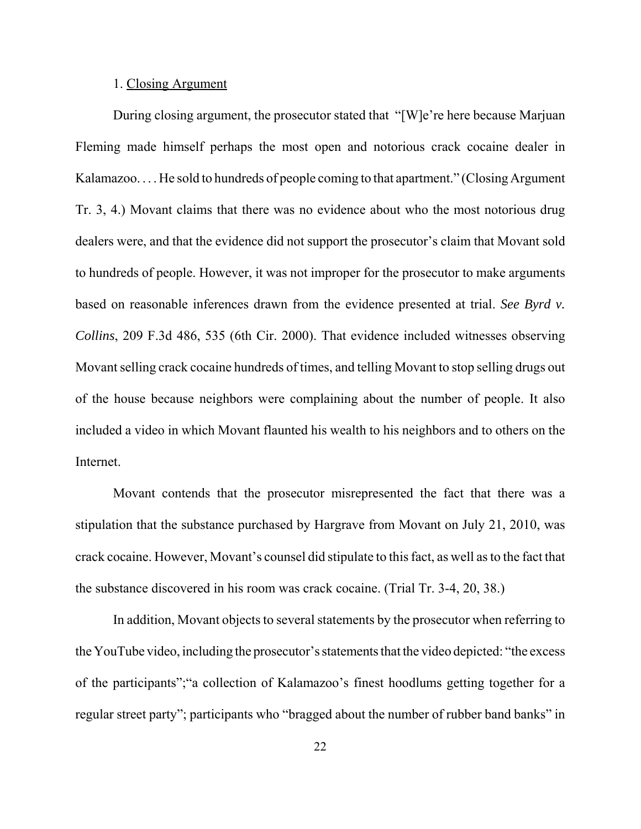#### 1. Closing Argument

During closing argument, the prosecutor stated that "[W]e're here because Marjuan Fleming made himself perhaps the most open and notorious crack cocaine dealer in Kalamazoo. . . . He sold to hundreds of people coming to that apartment." (Closing Argument Tr. 3, 4.) Movant claims that there was no evidence about who the most notorious drug dealers were, and that the evidence did not support the prosecutor's claim that Movant sold to hundreds of people. However, it was not improper for the prosecutor to make arguments based on reasonable inferences drawn from the evidence presented at trial. *See Byrd v. Collins*, 209 F.3d 486, 535 (6th Cir. 2000). That evidence included witnesses observing Movant selling crack cocaine hundreds of times, and telling Movant to stop selling drugs out of the house because neighbors were complaining about the number of people. It also included a video in which Movant flaunted his wealth to his neighbors and to others on the Internet.

Movant contends that the prosecutor misrepresented the fact that there was a stipulation that the substance purchased by Hargrave from Movant on July 21, 2010, was crack cocaine. However, Movant's counsel did stipulate to this fact, as well as to the fact that the substance discovered in his room was crack cocaine. (Trial Tr. 3-4, 20, 38.)

In addition, Movant objects to several statements by the prosecutor when referring to the YouTube video, including the prosecutor's statements that the video depicted: "the excess of the participants";"a collection of Kalamazoo's finest hoodlums getting together for a regular street party"; participants who "bragged about the number of rubber band banks" in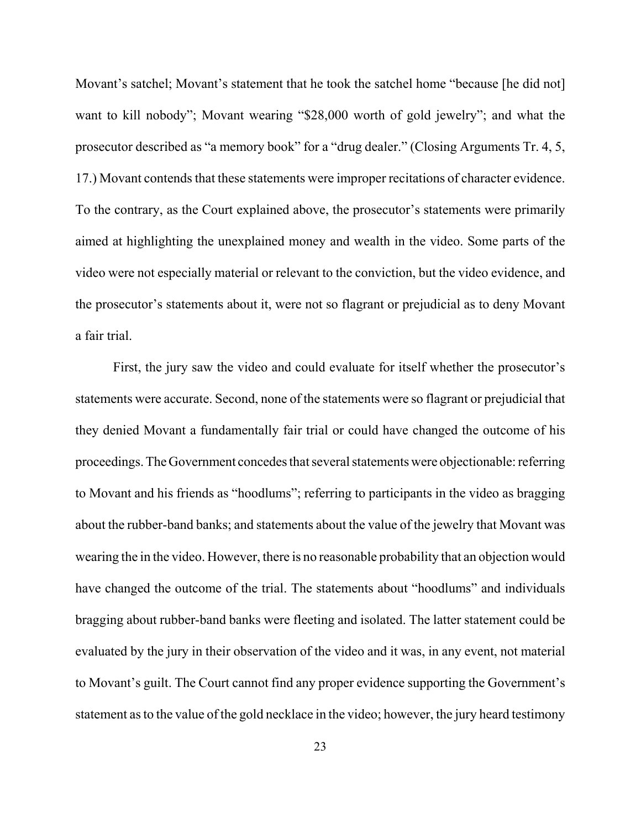Movant's satchel; Movant's statement that he took the satchel home "because [he did not] want to kill nobody"; Movant wearing "\$28,000 worth of gold jewelry"; and what the prosecutor described as "a memory book" for a "drug dealer." (Closing Arguments Tr. 4, 5, 17.) Movant contends that these statements were improper recitations of character evidence. To the contrary, as the Court explained above, the prosecutor's statements were primarily aimed at highlighting the unexplained money and wealth in the video. Some parts of the video were not especially material or relevant to the conviction, but the video evidence, and the prosecutor's statements about it, were not so flagrant or prejudicial as to deny Movant a fair trial.

First, the jury saw the video and could evaluate for itself whether the prosecutor's statements were accurate. Second, none of the statements were so flagrant or prejudicial that they denied Movant a fundamentally fair trial or could have changed the outcome of his proceedings. The Government concedes that several statements were objectionable: referring to Movant and his friends as "hoodlums"; referring to participants in the video as bragging about the rubber-band banks; and statements about the value of the jewelry that Movant was wearing the in the video. However, there is no reasonable probability that an objection would have changed the outcome of the trial. The statements about "hoodlums" and individuals bragging about rubber-band banks were fleeting and isolated. The latter statement could be evaluated by the jury in their observation of the video and it was, in any event, not material to Movant's guilt. The Court cannot find any proper evidence supporting the Government's statement as to the value of the gold necklace in the video; however, the jury heard testimony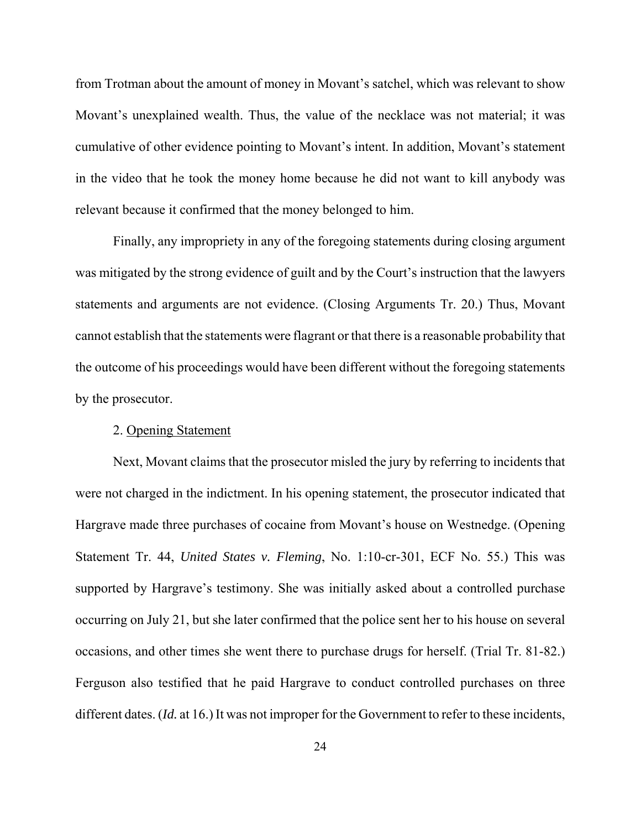from Trotman about the amount of money in Movant's satchel, which was relevant to show Movant's unexplained wealth. Thus, the value of the necklace was not material; it was cumulative of other evidence pointing to Movant's intent. In addition, Movant's statement in the video that he took the money home because he did not want to kill anybody was relevant because it confirmed that the money belonged to him.

Finally, any impropriety in any of the foregoing statements during closing argument was mitigated by the strong evidence of guilt and by the Court's instruction that the lawyers statements and arguments are not evidence. (Closing Arguments Tr. 20.) Thus, Movant cannot establish that the statements were flagrant or that there is a reasonable probability that the outcome of his proceedings would have been different without the foregoing statements by the prosecutor.

#### 2. Opening Statement

Next, Movant claims that the prosecutor misled the jury by referring to incidents that were not charged in the indictment. In his opening statement, the prosecutor indicated that Hargrave made three purchases of cocaine from Movant's house on Westnedge. (Opening Statement Tr. 44, *United States v. Fleming*, No. 1:10-cr-301, ECF No. 55.) This was supported by Hargrave's testimony. She was initially asked about a controlled purchase occurring on July 21, but she later confirmed that the police sent her to his house on several occasions, and other times she went there to purchase drugs for herself. (Trial Tr. 81-82.) Ferguson also testified that he paid Hargrave to conduct controlled purchases on three different dates. (*Id.* at 16.) It was not improper for the Government to refer to these incidents,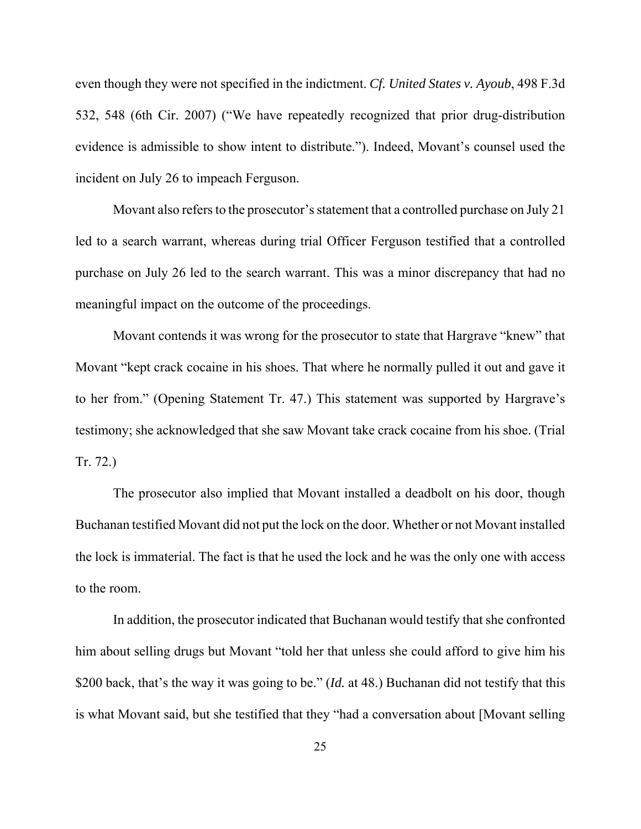even though they were not specified in the indictment. *Cf. United States v. Ayoub*, 498 F.3d 532, 548 (6th Cir. 2007) ("We have repeatedly recognized that prior drug-distribution evidence is admissible to show intent to distribute."). Indeed, Movant's counsel used the incident on July 26 to impeach Ferguson.

Movant also refers to the prosecutor's statement that a controlled purchase on July 21 led to a search warrant, whereas during trial Officer Ferguson testified that a controlled purchase on July 26 led to the search warrant. This was a minor discrepancy that had no meaningful impact on the outcome of the proceedings.

Movant contends it was wrong for the prosecutor to state that Hargrave "knew" that Movant "kept crack cocaine in his shoes. That where he normally pulled it out and gave it to her from." (Opening Statement Tr. 47.) This statement was supported by Hargrave's testimony; she acknowledged that she saw Movant take crack cocaine from his shoe. (Trial Tr. 72.)

The prosecutor also implied that Movant installed a deadbolt on his door, though Buchanan testified Movant did not put the lock on the door. Whether or not Movant installed the lock is immaterial. The fact is that he used the lock and he was the only one with access to the room.

In addition, the prosecutor indicated that Buchanan would testify that she confronted him about selling drugs but Movant "told her that unless she could afford to give him his \$200 back, that's the way it was going to be." (*Id.* at 48.) Buchanan did not testify that this is what Movant said, but she testified that they "had a conversation about [Movant selling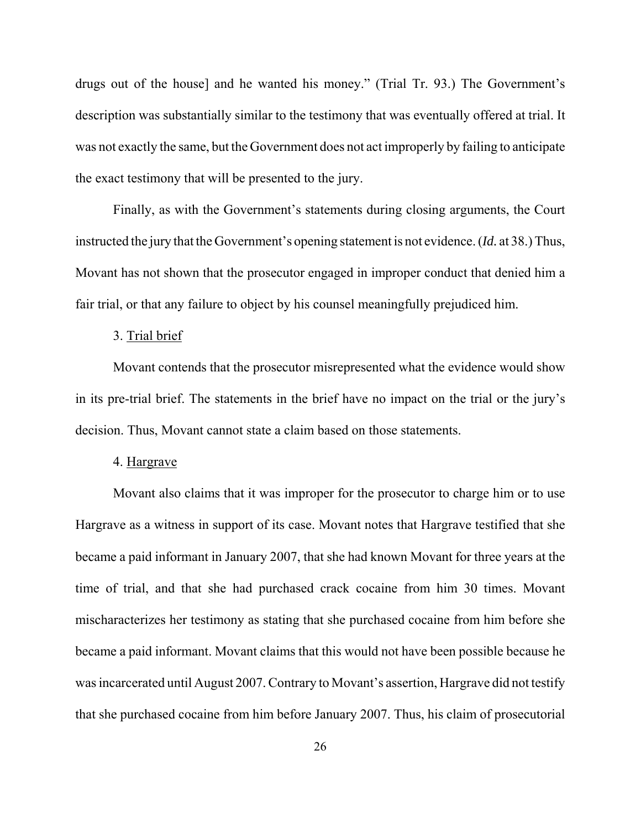drugs out of the house] and he wanted his money." (Trial Tr. 93.) The Government's description was substantially similar to the testimony that was eventually offered at trial. It was not exactly the same, but the Government does not act improperly by failing to anticipate the exact testimony that will be presented to the jury.

Finally, as with the Government's statements during closing arguments, the Court instructed the jury that the Government's opening statement is not evidence. (*Id.* at 38.) Thus, Movant has not shown that the prosecutor engaged in improper conduct that denied him a fair trial, or that any failure to object by his counsel meaningfully prejudiced him.

#### 3. Trial brief

Movant contends that the prosecutor misrepresented what the evidence would show in its pre-trial brief. The statements in the brief have no impact on the trial or the jury's decision. Thus, Movant cannot state a claim based on those statements.

#### 4. Hargrave

Movant also claims that it was improper for the prosecutor to charge him or to use Hargrave as a witness in support of its case. Movant notes that Hargrave testified that she became a paid informant in January 2007, that she had known Movant for three years at the time of trial, and that she had purchased crack cocaine from him 30 times. Movant mischaracterizes her testimony as stating that she purchased cocaine from him before she became a paid informant. Movant claims that this would not have been possible because he was incarcerated until August 2007. Contrary to Movant's assertion, Hargrave did not testify that she purchased cocaine from him before January 2007. Thus, his claim of prosecutorial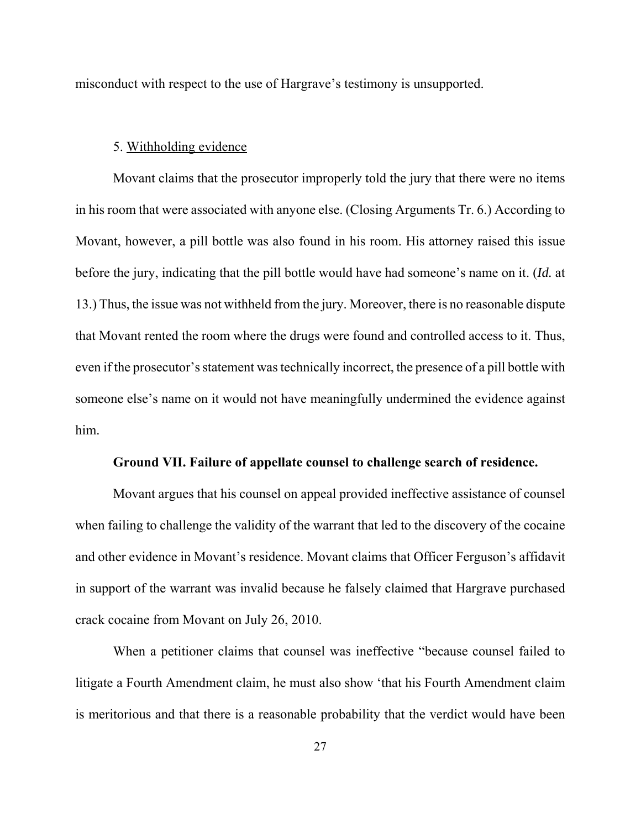misconduct with respect to the use of Hargrave's testimony is unsupported.

## 5. Withholding evidence

Movant claims that the prosecutor improperly told the jury that there were no items in his room that were associated with anyone else. (Closing Arguments Tr. 6.) According to Movant, however, a pill bottle was also found in his room. His attorney raised this issue before the jury, indicating that the pill bottle would have had someone's name on it. (*Id.* at 13.) Thus, the issue was not withheld from the jury. Moreover, there is no reasonable dispute that Movant rented the room where the drugs were found and controlled access to it. Thus, even if the prosecutor's statement was technically incorrect, the presence of a pill bottle with someone else's name on it would not have meaningfully undermined the evidence against him.

## **Ground VII. Failure of appellate counsel to challenge search of residence.**

Movant argues that his counsel on appeal provided ineffective assistance of counsel when failing to challenge the validity of the warrant that led to the discovery of the cocaine and other evidence in Movant's residence. Movant claims that Officer Ferguson's affidavit in support of the warrant was invalid because he falsely claimed that Hargrave purchased crack cocaine from Movant on July 26, 2010.

When a petitioner claims that counsel was ineffective "because counsel failed to litigate a Fourth Amendment claim, he must also show 'that his Fourth Amendment claim is meritorious and that there is a reasonable probability that the verdict would have been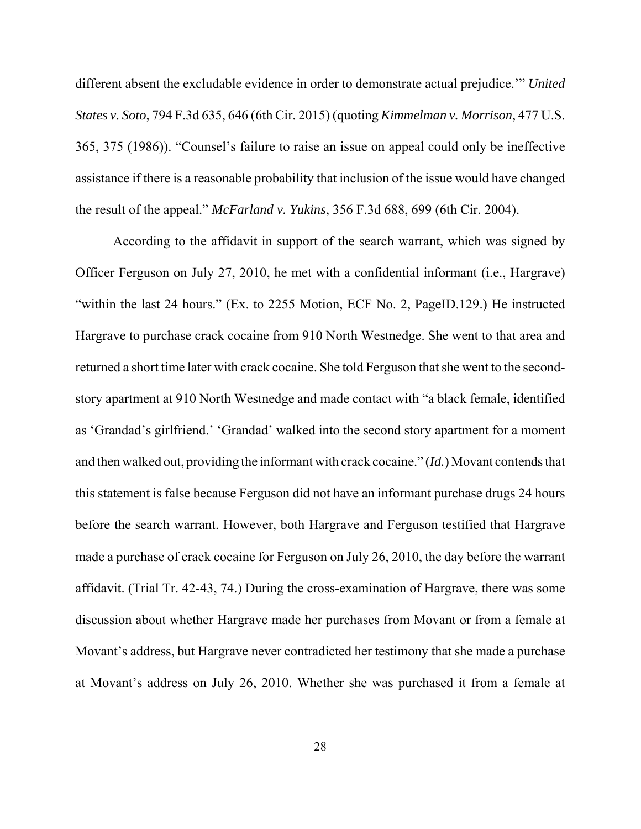different absent the excludable evidence in order to demonstrate actual prejudice.'" *United States v. Soto*, 794 F.3d 635, 646 (6th Cir. 2015) (quoting *Kimmelman v. Morrison*, 477 U.S. 365, 375 (1986)). "Counsel's failure to raise an issue on appeal could only be ineffective assistance if there is a reasonable probability that inclusion of the issue would have changed the result of the appeal." *McFarland v. Yukins*, 356 F.3d 688, 699 (6th Cir. 2004).

According to the affidavit in support of the search warrant, which was signed by Officer Ferguson on July 27, 2010, he met with a confidential informant (i.e., Hargrave) "within the last 24 hours." (Ex. to 2255 Motion, ECF No. 2, PageID.129.) He instructed Hargrave to purchase crack cocaine from 910 North Westnedge. She went to that area and returned a short time later with crack cocaine. She told Ferguson that she went to the secondstory apartment at 910 North Westnedge and made contact with "a black female, identified as 'Grandad's girlfriend.' 'Grandad' walked into the second story apartment for a moment and then walked out, providing the informant with crack cocaine." (*Id.*) Movant contends that this statement is false because Ferguson did not have an informant purchase drugs 24 hours before the search warrant. However, both Hargrave and Ferguson testified that Hargrave made a purchase of crack cocaine for Ferguson on July 26, 2010, the day before the warrant affidavit. (Trial Tr. 42-43, 74.) During the cross-examination of Hargrave, there was some discussion about whether Hargrave made her purchases from Movant or from a female at Movant's address, but Hargrave never contradicted her testimony that she made a purchase at Movant's address on July 26, 2010. Whether she was purchased it from a female at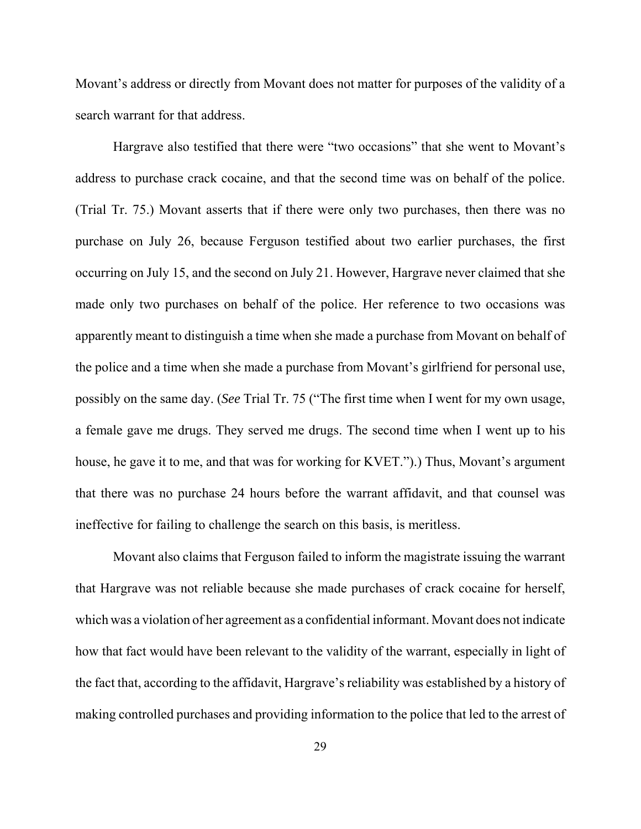Movant's address or directly from Movant does not matter for purposes of the validity of a search warrant for that address.

Hargrave also testified that there were "two occasions" that she went to Movant's address to purchase crack cocaine, and that the second time was on behalf of the police. (Trial Tr. 75.) Movant asserts that if there were only two purchases, then there was no purchase on July 26, because Ferguson testified about two earlier purchases, the first occurring on July 15, and the second on July 21. However, Hargrave never claimed that she made only two purchases on behalf of the police. Her reference to two occasions was apparently meant to distinguish a time when she made a purchase from Movant on behalf of the police and a time when she made a purchase from Movant's girlfriend for personal use, possibly on the same day. (*See* Trial Tr. 75 ("The first time when I went for my own usage, a female gave me drugs. They served me drugs. The second time when I went up to his house, he gave it to me, and that was for working for KVET.").) Thus, Movant's argument that there was no purchase 24 hours before the warrant affidavit, and that counsel was ineffective for failing to challenge the search on this basis, is meritless.

Movant also claims that Ferguson failed to inform the magistrate issuing the warrant that Hargrave was not reliable because she made purchases of crack cocaine for herself, which was a violation of her agreement as a confidential informant. Movant does not indicate how that fact would have been relevant to the validity of the warrant, especially in light of the fact that, according to the affidavit, Hargrave's reliability was established by a history of making controlled purchases and providing information to the police that led to the arrest of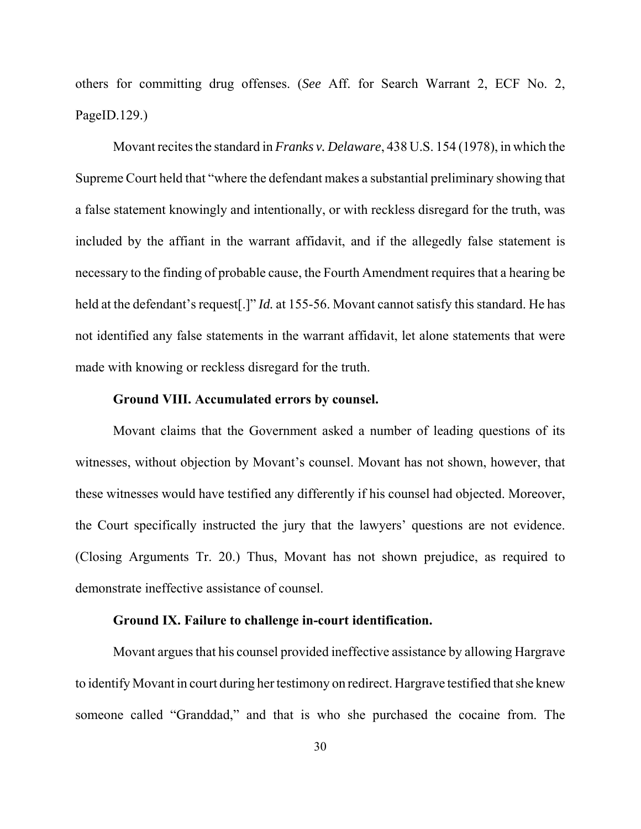others for committing drug offenses. (*See* Aff. for Search Warrant 2, ECF No. 2, PageID.129.)

Movant recites the standard in *Franks v. Delaware*, 438 U.S. 154 (1978), in which the Supreme Court held that "where the defendant makes a substantial preliminary showing that a false statement knowingly and intentionally, or with reckless disregard for the truth, was included by the affiant in the warrant affidavit, and if the allegedly false statement is necessary to the finding of probable cause, the Fourth Amendment requires that a hearing be held at the defendant's request[.]" *Id.* at 155-56. Movant cannot satisfy this standard. He has not identified any false statements in the warrant affidavit, let alone statements that were made with knowing or reckless disregard for the truth.

## **Ground VIII. Accumulated errors by counsel.**

Movant claims that the Government asked a number of leading questions of its witnesses, without objection by Movant's counsel. Movant has not shown, however, that these witnesses would have testified any differently if his counsel had objected. Moreover, the Court specifically instructed the jury that the lawyers' questions are not evidence. (Closing Arguments Tr. 20.) Thus, Movant has not shown prejudice, as required to demonstrate ineffective assistance of counsel.

#### **Ground IX. Failure to challenge in-court identification.**

Movant argues that his counsel provided ineffective assistance by allowing Hargrave to identify Movant in court during her testimony on redirect. Hargrave testified that she knew someone called "Granddad," and that is who she purchased the cocaine from. The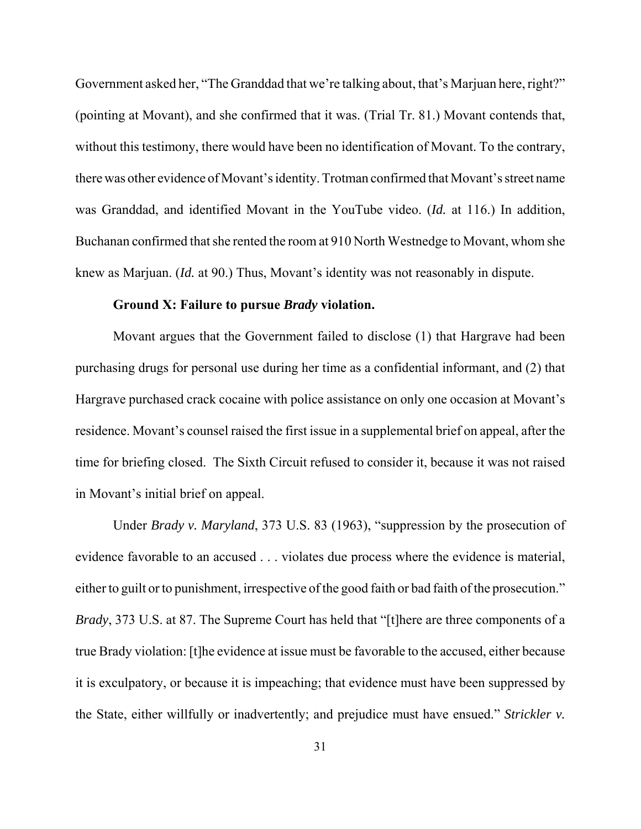Government asked her, "The Granddad that we're talking about, that's Marjuan here, right?" (pointing at Movant), and she confirmed that it was. (Trial Tr. 81.) Movant contends that, without this testimony, there would have been no identification of Movant. To the contrary, there was other evidence of Movant's identity. Trotman confirmed that Movant's street name was Granddad, and identified Movant in the YouTube video. (*Id.* at 116.) In addition, Buchanan confirmed that she rented the room at 910 North Westnedge to Movant, whom she knew as Marjuan. (*Id.* at 90.) Thus, Movant's identity was not reasonably in dispute.

## **Ground X: Failure to pursue** *Brady* **violation.**

Movant argues that the Government failed to disclose (1) that Hargrave had been purchasing drugs for personal use during her time as a confidential informant, and (2) that Hargrave purchased crack cocaine with police assistance on only one occasion at Movant's residence. Movant's counsel raised the first issue in a supplemental brief on appeal, after the time for briefing closed. The Sixth Circuit refused to consider it, because it was not raised in Movant's initial brief on appeal.

Under *Brady v. Maryland*, 373 U.S. 83 (1963), "suppression by the prosecution of evidence favorable to an accused . . . violates due process where the evidence is material, either to guilt or to punishment, irrespective of the good faith or bad faith of the prosecution." *Brady*, 373 U.S. at 87. The Supreme Court has held that "[t]here are three components of a true Brady violation: [t]he evidence at issue must be favorable to the accused, either because it is exculpatory, or because it is impeaching; that evidence must have been suppressed by the State, either willfully or inadvertently; and prejudice must have ensued." *Strickler v.*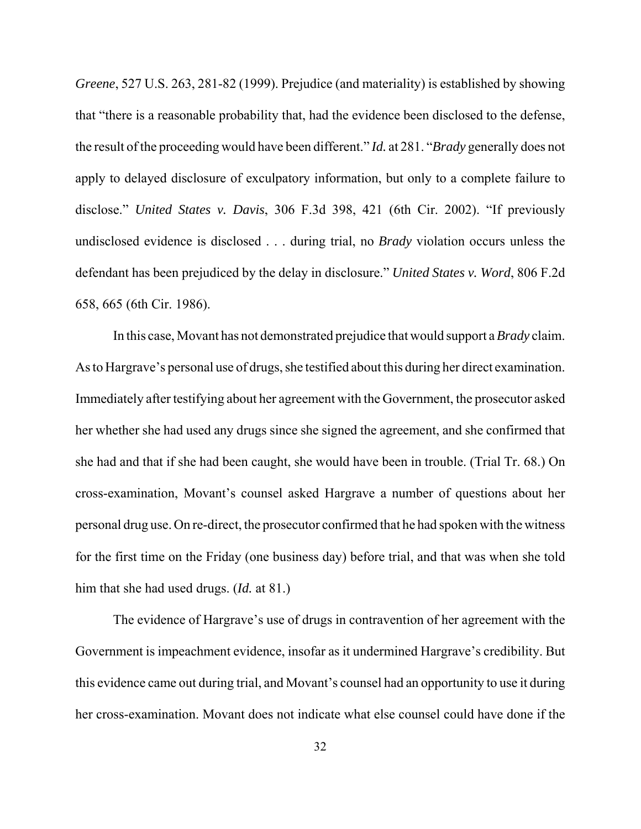*Greene*, 527 U.S. 263, 281-82 (1999). Prejudice (and materiality) is established by showing that "there is a reasonable probability that, had the evidence been disclosed to the defense, the result of the proceeding would have been different." *Id.* at 281. "*Brady* generally does not apply to delayed disclosure of exculpatory information, but only to a complete failure to disclose." *United States v. Davis*, 306 F.3d 398, 421 (6th Cir. 2002). "If previously undisclosed evidence is disclosed . . . during trial, no *Brady* violation occurs unless the defendant has been prejudiced by the delay in disclosure." *United States v. Word*, 806 F.2d 658, 665 (6th Cir. 1986).

In this case, Movant has not demonstrated prejudice that would support a *Brady* claim. As to Hargrave's personal use of drugs, she testified about this during her direct examination. Immediately after testifying about her agreement with the Government, the prosecutor asked her whether she had used any drugs since she signed the agreement, and she confirmed that she had and that if she had been caught, she would have been in trouble. (Trial Tr. 68.) On cross-examination, Movant's counsel asked Hargrave a number of questions about her personal drug use. On re-direct, the prosecutor confirmed that he had spoken with the witness for the first time on the Friday (one business day) before trial, and that was when she told him that she had used drugs. (*Id.* at 81.)

The evidence of Hargrave's use of drugs in contravention of her agreement with the Government is impeachment evidence, insofar as it undermined Hargrave's credibility. But this evidence came out during trial, and Movant's counsel had an opportunity to use it during her cross-examination. Movant does not indicate what else counsel could have done if the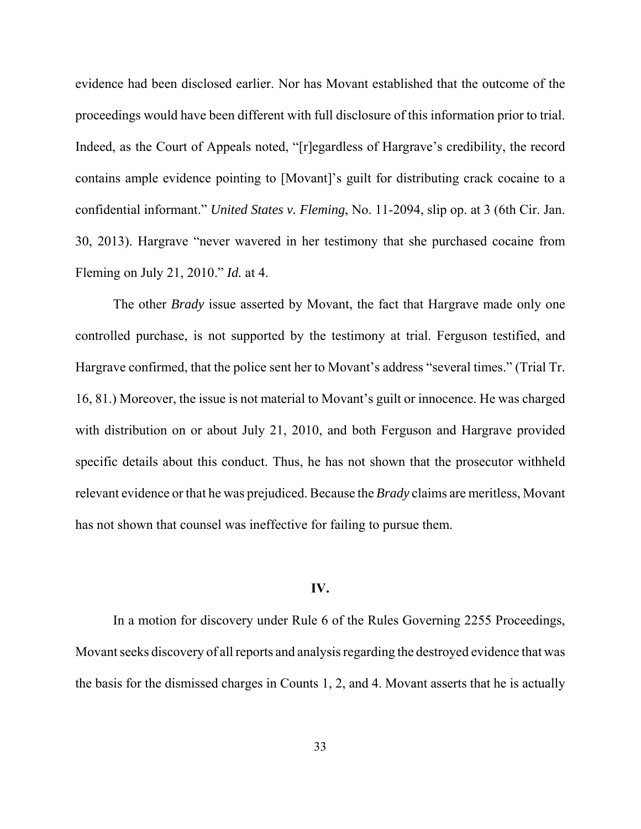evidence had been disclosed earlier. Nor has Movant established that the outcome of the proceedings would have been different with full disclosure of this information prior to trial. Indeed, as the Court of Appeals noted, "[r]egardless of Hargrave's credibility, the record contains ample evidence pointing to [Movant]'s guilt for distributing crack cocaine to a confidential informant." *United States v. Fleming*, No. 11-2094, slip op. at 3 (6th Cir. Jan. 30, 2013). Hargrave "never wavered in her testimony that she purchased cocaine from Fleming on July 21, 2010." *Id.* at 4.

The other *Brady* issue asserted by Movant, the fact that Hargrave made only one controlled purchase, is not supported by the testimony at trial. Ferguson testified, and Hargrave confirmed, that the police sent her to Movant's address "several times." (Trial Tr. 16, 81.) Moreover, the issue is not material to Movant's guilt or innocence. He was charged with distribution on or about July 21, 2010, and both Ferguson and Hargrave provided specific details about this conduct. Thus, he has not shown that the prosecutor withheld relevant evidence or that he was prejudiced. Because the *Brady* claims are meritless, Movant has not shown that counsel was ineffective for failing to pursue them.

## **IV.**

In a motion for discovery under Rule 6 of the Rules Governing 2255 Proceedings, Movant seeks discovery of all reports and analysis regarding the destroyed evidence that was the basis for the dismissed charges in Counts 1, 2, and 4. Movant asserts that he is actually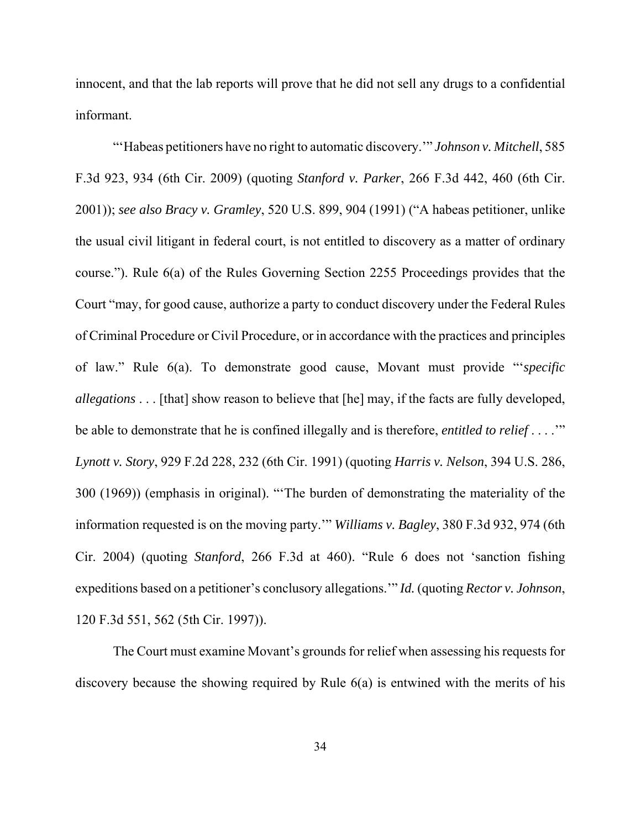innocent, and that the lab reports will prove that he did not sell any drugs to a confidential informant.

"'Habeas petitioners have no right to automatic discovery.'" *Johnson v. Mitchell*, 585 F.3d 923, 934 (6th Cir. 2009) (quoting *Stanford v. Parker*, 266 F.3d 442, 460 (6th Cir. 2001)); *see also Bracy v. Gramley*, 520 U.S. 899, 904 (1991) ("A habeas petitioner, unlike the usual civil litigant in federal court, is not entitled to discovery as a matter of ordinary course."). Rule 6(a) of the Rules Governing Section 2255 Proceedings provides that the Court "may, for good cause, authorize a party to conduct discovery under the Federal Rules of Criminal Procedure or Civil Procedure, or in accordance with the practices and principles of law." Rule 6(a). To demonstrate good cause, Movant must provide "'*specific allegations* . . . [that] show reason to believe that [he] may, if the facts are fully developed, be able to demonstrate that he is confined illegally and is therefore, *entitled to relief* . . . .'" *Lynott v. Story*, 929 F.2d 228, 232 (6th Cir. 1991) (quoting *Harris v. Nelson*, 394 U.S. 286, 300 (1969)) (emphasis in original). "'The burden of demonstrating the materiality of the information requested is on the moving party.'" *Williams v. Bagley*, 380 F.3d 932, 974 (6th Cir. 2004) (quoting *Stanford*, 266 F.3d at 460). "Rule 6 does not 'sanction fishing expeditions based on a petitioner's conclusory allegations.'" *Id.* (quoting *Rector v. Johnson*, 120 F.3d 551, 562 (5th Cir. 1997)).

The Court must examine Movant's grounds for relief when assessing his requests for discovery because the showing required by Rule 6(a) is entwined with the merits of his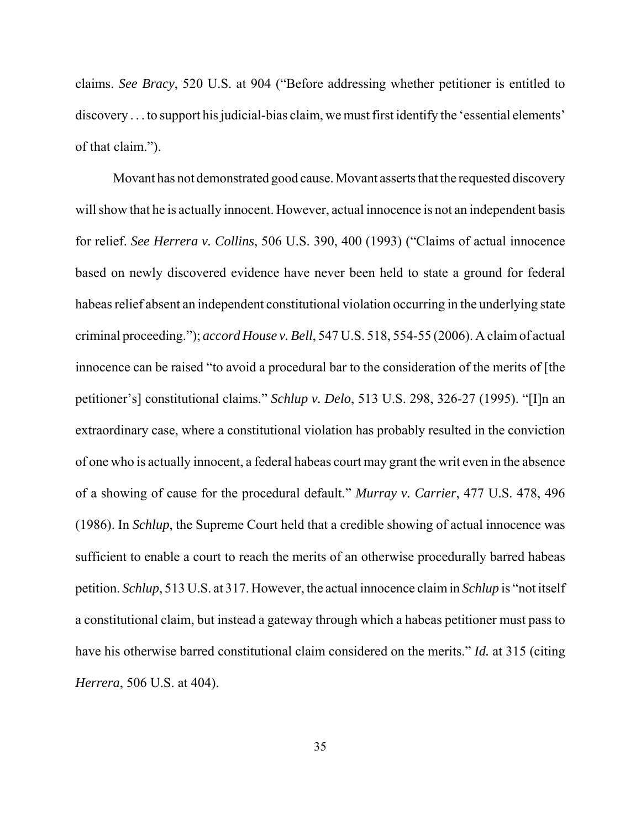claims. *See Bracy*, 520 U.S. at 904 ("Before addressing whether petitioner is entitled to discovery . . . to support his judicial-bias claim, we must first identify the 'essential elements' of that claim.").

Movant has not demonstrated good cause. Movant asserts that the requested discovery will show that he is actually innocent. However, actual innocence is not an independent basis for relief. *See Herrera v. Collins*, 506 U.S. 390, 400 (1993) ("Claims of actual innocence based on newly discovered evidence have never been held to state a ground for federal habeas relief absent an independent constitutional violation occurring in the underlying state criminal proceeding."); *accord House v. Bell*, 547 U.S. 518, 554-55 (2006). A claim of actual innocence can be raised "to avoid a procedural bar to the consideration of the merits of [the petitioner's] constitutional claims." *Schlup v. Delo*, 513 U.S. 298, 326-27 (1995). "[I]n an extraordinary case, where a constitutional violation has probably resulted in the conviction of one who is actually innocent, a federal habeas court may grant the writ even in the absence of a showing of cause for the procedural default." *Murray v. Carrier*, 477 U.S. 478, 496 (1986). In *Schlup*, the Supreme Court held that a credible showing of actual innocence was sufficient to enable a court to reach the merits of an otherwise procedurally barred habeas petition. *Schlup*, 513 U.S. at 317. However, the actual innocence claim in *Schlup* is "not itself a constitutional claim, but instead a gateway through which a habeas petitioner must pass to have his otherwise barred constitutional claim considered on the merits." *Id.* at 315 (citing *Herrera*, 506 U.S. at 404).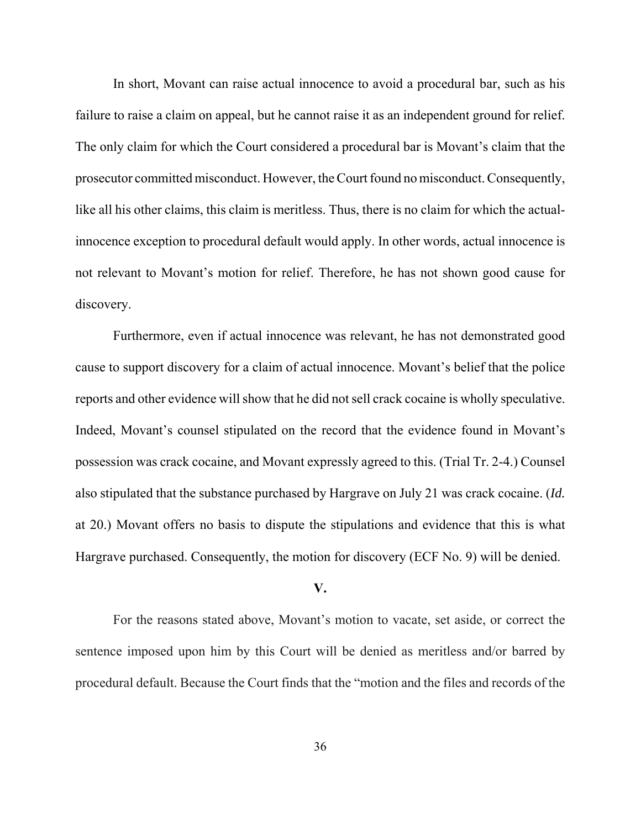In short, Movant can raise actual innocence to avoid a procedural bar, such as his failure to raise a claim on appeal, but he cannot raise it as an independent ground for relief. The only claim for which the Court considered a procedural bar is Movant's claim that the prosecutor committed misconduct. However, the Court found no misconduct. Consequently, like all his other claims, this claim is meritless. Thus, there is no claim for which the actualinnocence exception to procedural default would apply. In other words, actual innocence is not relevant to Movant's motion for relief. Therefore, he has not shown good cause for discovery.

Furthermore, even if actual innocence was relevant, he has not demonstrated good cause to support discovery for a claim of actual innocence. Movant's belief that the police reports and other evidence will show that he did not sell crack cocaine is wholly speculative. Indeed, Movant's counsel stipulated on the record that the evidence found in Movant's possession was crack cocaine, and Movant expressly agreed to this. (Trial Tr. 2-4.) Counsel also stipulated that the substance purchased by Hargrave on July 21 was crack cocaine. (*Id.* at 20.) Movant offers no basis to dispute the stipulations and evidence that this is what Hargrave purchased. Consequently, the motion for discovery (ECF No. 9) will be denied.

# **V.**

For the reasons stated above, Movant's motion to vacate, set aside, or correct the sentence imposed upon him by this Court will be denied as meritless and/or barred by procedural default. Because the Court finds that the "motion and the files and records of the